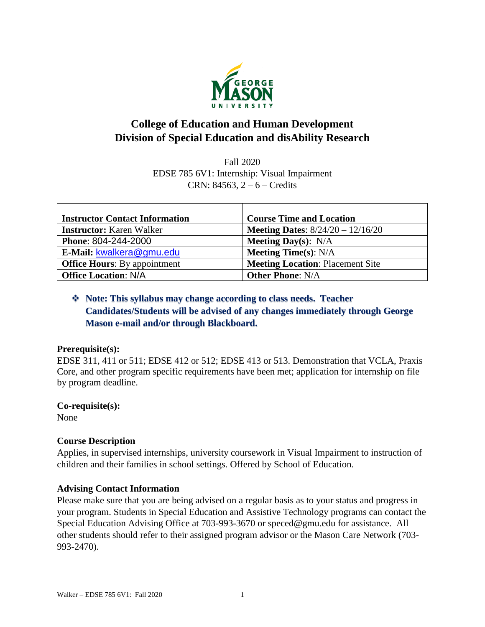

# **College of Education and Human Development Division of Special Education and disAbility Research**

Fall 2020 EDSE 785 6V1: Internship: Visual Impairment CRN: 84563, 2 – 6 – Credits

| <b>Instructor Contact Information</b> | <b>Course Time and Location</b>            |
|---------------------------------------|--------------------------------------------|
| <b>Instructor:</b> Karen Walker       | <b>Meeting Dates:</b> $8/24/20 - 12/16/20$ |
| <b>Phone: 804-244-2000</b>            | <b>Meeting Day(s):</b> $N/A$               |
| E-Mail: kwalkera@gmu.edu              | <b>Meeting Time(s): N/A</b>                |
| <b>Office Hours:</b> By appointment   | <b>Meeting Location: Placement Site</b>    |
| <b>Office Location: N/A</b>           | <b>Other Phone: N/A</b>                    |

## ❖ **Note: This syllabus may change according to class needs. Teacher Candidates/Students will be advised of any changes immediately through George Mason e-mail and/or through Blackboard.**

## **Prerequisite(s):**

EDSE 311, 411 or 511; EDSE 412 or 512; EDSE 413 or 513. Demonstration that VCLA, Praxis Core, and other program specific requirements have been met; application for internship on file by program deadline.

## **Co-requisite(s):**

None

## **Course Description**

Applies, in supervised internships, university coursework in Visual Impairment to instruction of children and their families in school settings. Offered by School of Education.

## **Advising Contact Information**

Please make sure that you are being advised on a regular basis as to your status and progress in your program. Students in Special Education and Assistive Technology programs can contact the Special Education Advising Office at 703-993-3670 or [speced@gmu.edu](mailto:speced@gmu.edu) for assistance. All other students should refer to their assigned program advisor or the Mason Care Network (703- 993-2470).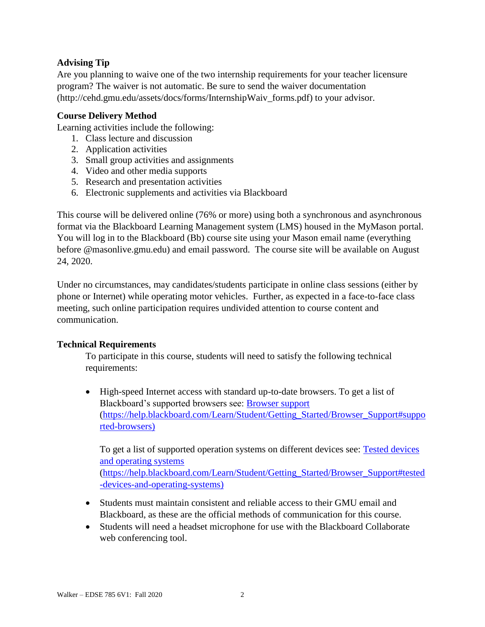## **Advising Tip**

Are you planning to waive one of the two internship requirements for your teacher licensure program? The waiver is not automatic. Be sure to send the waiver documentation (http://cehd.gmu.edu/assets/docs/forms/InternshipWaiv\_forms.pdf) to your advisor.

## **Course Delivery Method**

Learning activities include the following:

- 1. Class lecture and discussion
- 2. Application activities
- 3. Small group activities and assignments
- 4. Video and other media supports
- 5. Research and presentation activities
- 6. Electronic supplements and activities via Blackboard

This course will be delivered online (76% or more) using both a synchronous and asynchronous format via the Blackboard Learning Management system (LMS) housed in the MyMason portal. You will log in to the Blackboard (Bb) course site using your Mason email name (everything before @masonlive.gmu.edu) and email password. The course site will be available on August 24, 2020.

Under no circumstances, may candidates/students participate in online class sessions (either by phone or Internet) while operating motor vehicles. Further, as expected in a face-to-face class meeting, such online participation requires undivided attention to course content and communication.

## **Technical Requirements**

To participate in this course, students will need to satisfy the following technical requirements:

• High-speed Internet access with standard up-to-date browsers. To get a list of Blackboard's supported browsers see: [Browser support](https://help.blackboard.com/Learn/Student/Getting_Started/Browser_Support#supported-browsers) [\(https://help.blackboard.com/Learn/Student/Getting\\_Started/Browser\\_Support#suppo](https://help.blackboard.com/Learn/Student/Getting_Started/Browser_Support#supported-browsers) [rted-browsers\)](https://help.blackboard.com/Learn/Student/Getting_Started/Browser_Support#supported-browsers)

To get a list of supported operation systems on different devices see: [Tested devices](https://help.blackboard.com/Learn/Student/Getting_Started/Browser_Support#tested-devices-and-operating-systems)  [and operating systems](https://help.blackboard.com/Learn/Student/Getting_Started/Browser_Support#tested-devices-and-operating-systems) [\(https://help.blackboard.com/Learn/Student/Getting\\_Started/Browser\\_Support#tested](https://help.blackboard.com/Learn/Student/Getting_Started/Browser_Support#tested-devices-and-operating-systems) [-devices-and-operating-systems\)](https://help.blackboard.com/Learn/Student/Getting_Started/Browser_Support#tested-devices-and-operating-systems)

- Students must maintain consistent and reliable access to their GMU email and Blackboard, as these are the official methods of communication for this course.
- Students will need a headset microphone for use with the Blackboard Collaborate web conferencing tool.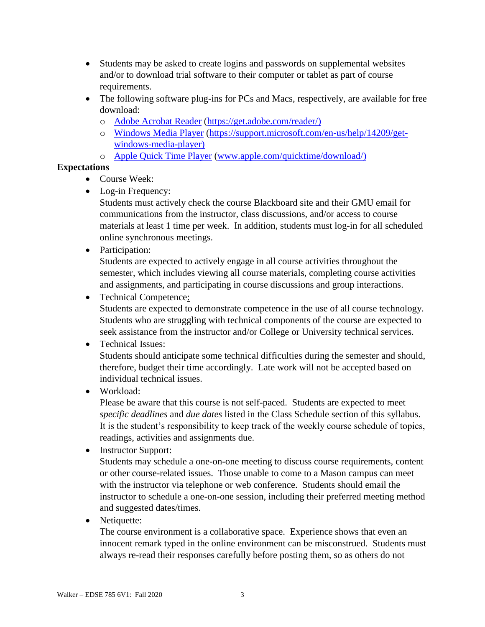- Students may be asked to create logins and passwords on supplemental websites and/or to download trial software to their computer or tablet as part of course requirements.
- The following software plug-ins for PCs and Macs, respectively, are available for free download:
	- o [Adobe Acrobat Reader](https://get.adobe.com/reader/) [\(https://get.adobe.com/reader/\)](https://get.adobe.com/reader/)
	- o [Windows Media Player](https://support.microsoft.com/en-us/help/14209/get-windows-media-player) [\(https://support.microsoft.com/en-us/help/14209/get](https://support.microsoft.com/en-us/help/14209/get-windows-media-player)[windows-media-player\)](https://support.microsoft.com/en-us/help/14209/get-windows-media-player)
	- o [Apple Quick Time Player](http://www.apple.com/quicktime/download/) [\(www.apple.com/quicktime/download/\)](http://www.apple.com/quicktime/download/)

## **Expectations**

- Course Week:
- Log-in Frequency:

Students must actively check the course Blackboard site and their GMU email for communications from the instructor, class discussions, and/or access to course materials at least 1 time per week. In addition, students must log-in for all scheduled online synchronous meetings.

• Participation:

Students are expected to actively engage in all course activities throughout the semester, which includes viewing all course materials, completing course activities and assignments, and participating in course discussions and group interactions.

• Technical Competence:

Students are expected to demonstrate competence in the use of all course technology. Students who are struggling with technical components of the course are expected to seek assistance from the instructor and/or College or University technical services.

## • Technical Issues:

Students should anticipate some technical difficulties during the semester and should, therefore, budget their time accordingly. Late work will not be accepted based on individual technical issues.

• Workload:

Please be aware that this course is not self-paced. Students are expected to meet *specific deadlines* and *due dates* listed in the Class Schedule section of this syllabus. It is the student's responsibility to keep track of the weekly course schedule of topics, readings, activities and assignments due.

• Instructor Support:

Students may schedule a one-on-one meeting to discuss course requirements, content or other course-related issues. Those unable to come to a Mason campus can meet with the instructor via telephone or web conference. Students should email the instructor to schedule a one-on-one session, including their preferred meeting method and suggested dates/times.

• Netiquette:

The course environment is a collaborative space. Experience shows that even an innocent remark typed in the online environment can be misconstrued. Students must always re-read their responses carefully before posting them, so as others do not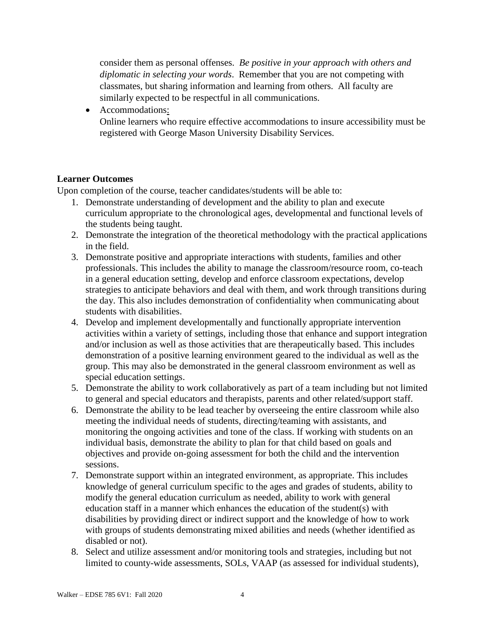consider them as personal offenses. *Be positive in your approach with others and diplomatic in selecting your words*. Remember that you are not competing with classmates, but sharing information and learning from others. All faculty are similarly expected to be respectful in all communications.

• Accommodations: Online learners who require effective accommodations to insure accessibility must be registered with George Mason University Disability Services.

## **Learner Outcomes**

Upon completion of the course, teacher candidates/students will be able to:

- 1. Demonstrate understanding of development and the ability to plan and execute curriculum appropriate to the chronological ages, developmental and functional levels of the students being taught.
- 2. Demonstrate the integration of the theoretical methodology with the practical applications in the field.
- 3. Demonstrate positive and appropriate interactions with students, families and other professionals. This includes the ability to manage the classroom/resource room, co-teach in a general education setting, develop and enforce classroom expectations, develop strategies to anticipate behaviors and deal with them, and work through transitions during the day. This also includes demonstration of confidentiality when communicating about students with disabilities.
- 4. Develop and implement developmentally and functionally appropriate intervention activities within a variety of settings, including those that enhance and support integration and/or inclusion as well as those activities that are therapeutically based. This includes demonstration of a positive learning environment geared to the individual as well as the group. This may also be demonstrated in the general classroom environment as well as special education settings.
- 5. Demonstrate the ability to work collaboratively as part of a team including but not limited to general and special educators and therapists, parents and other related/support staff.
- 6. Demonstrate the ability to be lead teacher by overseeing the entire classroom while also meeting the individual needs of students, directing/teaming with assistants, and monitoring the ongoing activities and tone of the class. If working with students on an individual basis, demonstrate the ability to plan for that child based on goals and objectives and provide on-going assessment for both the child and the intervention sessions.
- 7. Demonstrate support within an integrated environment, as appropriate. This includes knowledge of general curriculum specific to the ages and grades of students, ability to modify the general education curriculum as needed, ability to work with general education staff in a manner which enhances the education of the student(s) with disabilities by providing direct or indirect support and the knowledge of how to work with groups of students demonstrating mixed abilities and needs (whether identified as disabled or not).
- 8. Select and utilize assessment and/or monitoring tools and strategies, including but not limited to county-wide assessments, SOLs, VAAP (as assessed for individual students),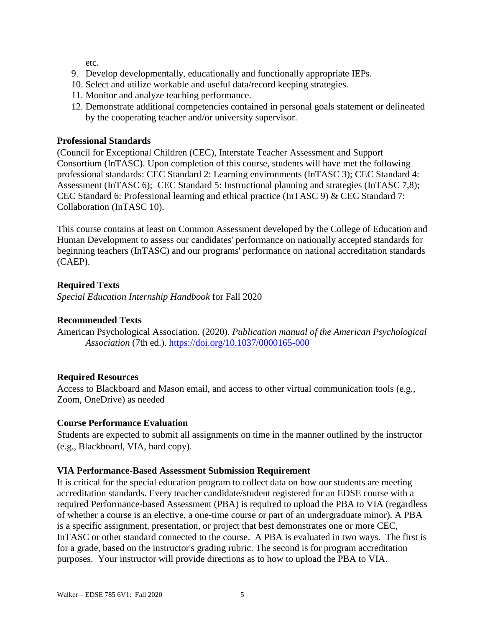etc.

- 9. Develop developmentally, educationally and functionally appropriate IEPs.
- 10. Select and utilize workable and useful data/record keeping strategies.
- 11. Monitor and analyze teaching performance.
- 12. Demonstrate additional competencies contained in personal goals statement or delineated by the cooperating teacher and/or university supervisor.

## **Professional Standards**

(Council for Exceptional Children (CEC), Interstate Teacher Assessment and Support Consortium (InTASC). Upon completion of this course, students will have met the following professional standards: CEC Standard 2: Learning environments (InTASC 3); CEC Standard 4: Assessment (InTASC 6); CEC Standard 5: Instructional planning and strategies (InTASC 7,8); CEC Standard 6: Professional learning and ethical practice (InTASC 9) & CEC Standard 7: Collaboration (InTASC 10).

This course contains at least on Common Assessment developed by the College of Education and Human Development to assess our candidates' performance on nationally accepted standards for beginning teachers (InTASC) and our programs' performance on national accreditation standards (CAEP).

## **Required Texts**

*Special Education Internship Handbook* for Fall 2020

## **Recommended Texts**

American Psychological Association*.* (2020). *Publication manual of the American Psychological Association* (7th ed.). <https://doi.org/10.1037/0000165-000>

## **Required Resources**

Access to Blackboard and Mason email, and access to other virtual communication tools (e.g., Zoom, OneDrive) as needed

## **Course Performance Evaluation**

Students are expected to submit all assignments on time in the manner outlined by the instructor (e.g., Blackboard, VIA, hard copy).

## **VIA Performance-Based Assessment Submission Requirement**

It is critical for the special education program to collect data on how our students are meeting accreditation standards. Every teacher candidate/student registered for an EDSE course with a required Performance-based Assessment (PBA) is required to upload the PBA to VIA (regardless of whether a course is an elective, a one-time course or part of an undergraduate minor). A PBA is a specific assignment, presentation, or project that best demonstrates one or more CEC, InTASC or other standard connected to the course. A PBA is evaluated in two ways. The first is for a grade, based on the instructor's grading rubric. The second is for program accreditation purposes. Your instructor will provide directions as to how to upload the PBA to VIA.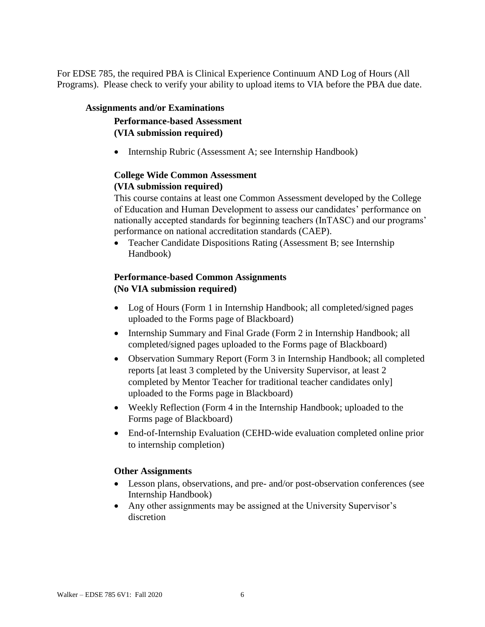For EDSE 785, the required PBA is Clinical Experience Continuum AND Log of Hours (All Programs). Please check to verify your ability to upload items to VIA before the PBA due date.

## **Assignments and/or Examinations**

## **Performance-based Assessment (VIA submission required)**

• Internship Rubric (Assessment A; see Internship Handbook)

## **College Wide Common Assessment (VIA submission required)**

This course contains at least one Common Assessment developed by the College of Education and Human Development to assess our candidates' performance on nationally accepted standards for beginning teachers (InTASC) and our programs' performance on national accreditation standards (CAEP).

• Teacher Candidate Dispositions Rating (Assessment B; see Internship Handbook)

## **Performance-based Common Assignments (No VIA submission required)**

- Log of Hours (Form 1 in Internship Handbook; all completed/signed pages uploaded to the Forms page of Blackboard)
- Internship Summary and Final Grade (Form 2 in Internship Handbook; all completed/signed pages uploaded to the Forms page of Blackboard)
- Observation Summary Report (Form 3 in Internship Handbook; all completed reports [at least 3 completed by the University Supervisor, at least 2 completed by Mentor Teacher for traditional teacher candidates only] uploaded to the Forms page in Blackboard)
- Weekly Reflection (Form 4 in the Internship Handbook; uploaded to the Forms page of Blackboard)
- End-of-Internship Evaluation (CEHD-wide evaluation completed online prior to internship completion)

## **Other Assignments**

- Lesson plans, observations, and pre- and/or post-observation conferences (see Internship Handbook)
- Any other assignments may be assigned at the University Supervisor's discretion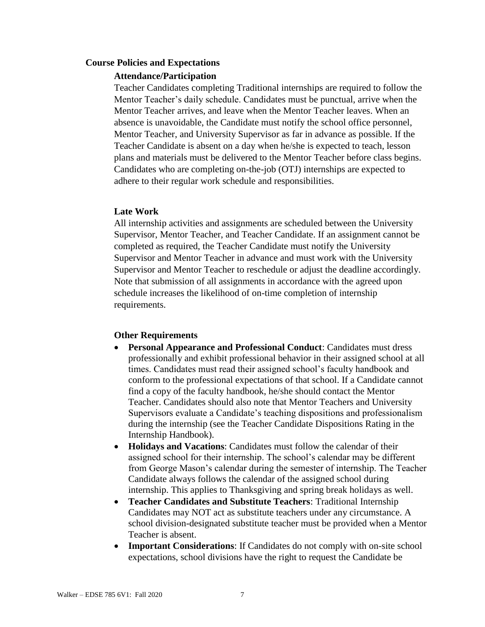## **Course Policies and Expectations**

#### **Attendance/Participation**

Teacher Candidates completing Traditional internships are required to follow the Mentor Teacher's daily schedule. Candidates must be punctual, arrive when the Mentor Teacher arrives, and leave when the Mentor Teacher leaves. When an absence is unavoidable, the Candidate must notify the school office personnel, Mentor Teacher, and University Supervisor as far in advance as possible. If the Teacher Candidate is absent on a day when he/she is expected to teach, lesson plans and materials must be delivered to the Mentor Teacher before class begins. Candidates who are completing on-the-job (OTJ) internships are expected to adhere to their regular work schedule and responsibilities.

#### **Late Work**

All internship activities and assignments are scheduled between the University Supervisor, Mentor Teacher, and Teacher Candidate. If an assignment cannot be completed as required, the Teacher Candidate must notify the University Supervisor and Mentor Teacher in advance and must work with the University Supervisor and Mentor Teacher to reschedule or adjust the deadline accordingly. Note that submission of all assignments in accordance with the agreed upon schedule increases the likelihood of on-time completion of internship requirements.

#### **Other Requirements**

- **Personal Appearance and Professional Conduct**: Candidates must dress professionally and exhibit professional behavior in their assigned school at all times. Candidates must read their assigned school's faculty handbook and conform to the professional expectations of that school. If a Candidate cannot find a copy of the faculty handbook, he/she should contact the Mentor Teacher. Candidates should also note that Mentor Teachers and University Supervisors evaluate a Candidate's teaching dispositions and professionalism during the internship (see the Teacher Candidate Dispositions Rating in the Internship Handbook).
- **Holidays and Vacations**: Candidates must follow the calendar of their assigned school for their internship. The school's calendar may be different from George Mason's calendar during the semester of internship. The Teacher Candidate always follows the calendar of the assigned school during internship. This applies to Thanksgiving and spring break holidays as well.
- **Teacher Candidates and Substitute Teachers**: Traditional Internship Candidates may NOT act as substitute teachers under any circumstance. A school division-designated substitute teacher must be provided when a Mentor Teacher is absent.
- **Important Considerations**: If Candidates do not comply with on-site school expectations, school divisions have the right to request the Candidate be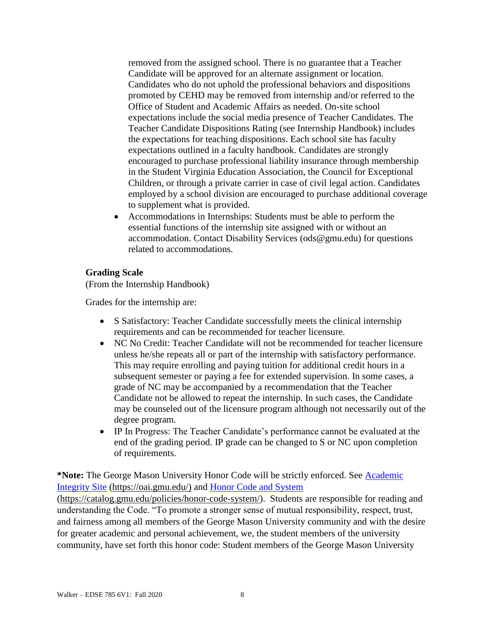removed from the assigned school. There is no guarantee that a Teacher Candidate will be approved for an alternate assignment or location. Candidates who do not uphold the professional behaviors and dispositions promoted by CEHD may be removed from internship and/or referred to the Office of Student and Academic Affairs as needed. On-site school expectations include the social media presence of Teacher Candidates. The Teacher Candidate Dispositions Rating (see Internship Handbook) includes the expectations for teaching dispositions. Each school site has faculty expectations outlined in a faculty handbook. Candidates are strongly encouraged to purchase professional liability insurance through membership in the Student Virginia Education Association, the Council for Exceptional Children, or through a private carrier in case of civil legal action. Candidates employed by a school division are encouraged to purchase additional coverage to supplement what is provided.

• Accommodations in Internships: Students must be able to perform the essential functions of the internship site assigned with or without an accommodation. Contact Disability Services (ods@gmu.edu) for questions related to accommodations.

## **Grading Scale**

(From the Internship Handbook)

Grades for the internship are:

- S Satisfactory: Teacher Candidate successfully meets the clinical internship requirements and can be recommended for teacher licensure.
- NC No Credit: Teacher Candidate will not be recommended for teacher licensure unless he/she repeats all or part of the internship with satisfactory performance. This may require enrolling and paying tuition for additional credit hours in a subsequent semester or paying a fee for extended supervision. In some cases, a grade of NC may be accompanied by a recommendation that the Teacher Candidate not be allowed to repeat the internship. In such cases, the Candidate may be counseled out of the licensure program although not necessarily out of the degree program.
- IP In Progress: The Teacher Candidate's performance cannot be evaluated at the end of the grading period. IP grade can be changed to S or NC upon completion of requirements.

**\*Note:** The George Mason University Honor Code will be strictly enforced. See [Academic](https://oai.gmu.edu/)  [Integrity Site](https://oai.gmu.edu/) [\(https://oai.gmu.edu/\)](https://oai.gmu.edu/) and [Honor Code and System](https://catalog.gmu.edu/policies/honor-code-system/)

[\(https://catalog.gmu.edu/policies/honor-code-system/\)](https://catalog.gmu.edu/policies/honor-code-system/). Students are responsible for reading and understanding the Code. "To promote a stronger sense of mutual responsibility, respect, trust, and fairness among all members of the George Mason University community and with the desire for greater academic and personal achievement, we, the student members of the university community, have set forth this honor code: Student members of the George Mason University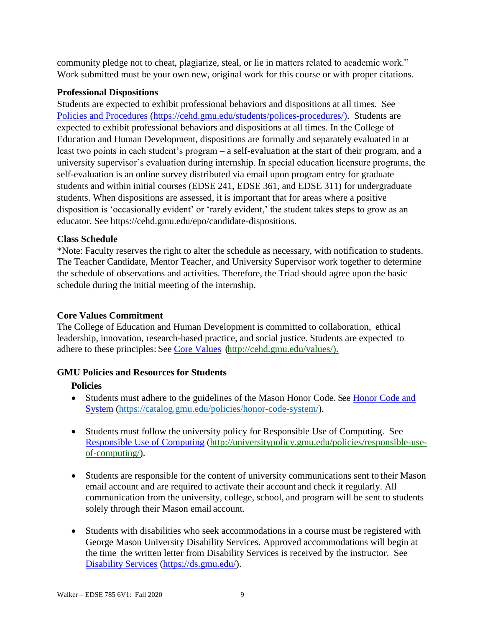community pledge not to cheat, plagiarize, steal, or lie in matters related to academic work." Work submitted must be your own new, original work for this course or with proper citations.

## **Professional Dispositions**

Students are expected to exhibit professional behaviors and dispositions at all times. See [Policies and Procedures](https://cehd.gmu.edu/students/polices-procedures/) [\(https://cehd.gmu.edu/students/polices-procedures/\)](https://cehd.gmu.edu/students/polices-procedures/). Students are expected to exhibit professional behaviors and dispositions at all times. In the College of Education and Human Development, dispositions are formally and separately evaluated in at least two points in each student's program – a self-evaluation at the start of their program, and a university supervisor's evaluation during internship. In special education licensure programs, the self-evaluation is an online survey distributed via email upon program entry for graduate students and within initial courses (EDSE 241, EDSE 361, and EDSE 311) for undergraduate students. When dispositions are assessed, it is important that for areas where a positive disposition is 'occasionally evident' or 'rarely evident,' the student takes steps to grow as an educator. See https://cehd.gmu.edu/epo/candidate-dispositions.

## **Class Schedule**

\*Note: Faculty reserves the right to alter the schedule as necessary, with notification to students. The Teacher Candidate, Mentor Teacher, and University Supervisor work together to determine the schedule of observations and activities. Therefore, the Triad should agree upon the basic schedule during the initial meeting of the internship.

## **Core Values Commitment**

The College of Education and Human Development is committed to collaboration, ethical leadership, innovation, research-based practice, and social justice. Students are expected to adhere to these principles: See [Core Values](http://cehd.gmu.edu/values/) [\(http://cehd.gmu.edu/values/\)](http://cehd.gmu.edu/values/).

## **GMU Policies and Resources for Students**

## **Policies**

- Students must adhere to the guidelines of the Mason Honor Code. See Honor Code and [System](https://catalog.gmu.edu/policies/honor-code-system/) [\(https://catalog.gmu.edu/policies/honor-code-system/\)](https://catalog.gmu.edu/policies/honor-code-system/).
- Students must follow the university policy for Responsible Use of Computing. See [Responsible Use of Computing](http://universitypolicy.gmu.edu/policies/responsible-use-of-computing/) [\(http://universitypolicy.gmu.edu/policies/responsible-use](http://universitypolicy.gmu.edu/policies/responsible-use-of-computing/)[of-computing/\)](http://universitypolicy.gmu.edu/policies/responsible-use-of-computing/).
- Students are responsible for the content of university communications sent to their Mason email account and are required to activate their account and check it regularly. All communication from the university, college, school, and program will be sent to students solely through their Mason email account.
- Students with disabilities who seek accommodations in a course must be registered with George Mason University Disability Services. Approved accommodations will begin at the time the written letter from Disability Services is received by the instructor. See [Disability Services](https://ds.gmu.edu/) [\(https://ds.gmu.edu/\)](https://ds.gmu.edu/).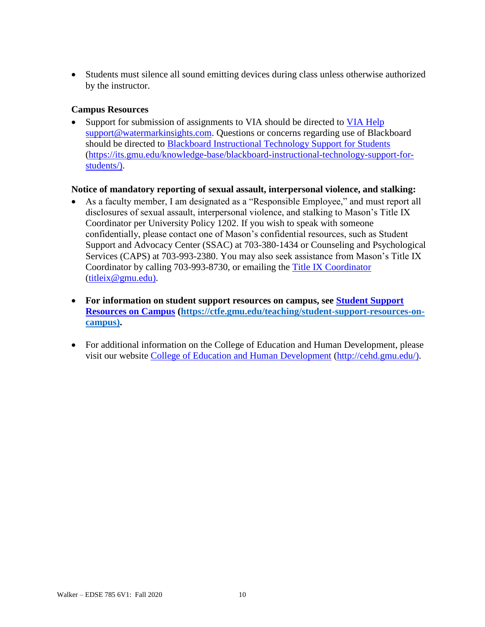• Students must silence all sound emitting devices during class unless otherwise authorized by the instructor.

## **Campus Resources**

Support for submission of assignments to VIA should be directed to VIA [Help](mailto:support@watermarkinsights.com) [support@watermarkinsights.com.](mailto:support@watermarkinsights.com) Questions or concerns regarding use of Blackboard should be directed to [Blackboard Instructional Technology Support for Students](https://its.gmu.edu/knowledge-base/blackboard-instructional-technology-support-for-students/) [\(https://its.gmu.edu/knowledge-base/blackboard-instructional-technology-support-for](https://its.gmu.edu/knowledge-base/blackboard-instructional-technology-support-for-students/)[students/\)](https://its.gmu.edu/knowledge-base/blackboard-instructional-technology-support-for-students/).

## **Notice of mandatory reporting of sexual assault, interpersonal violence, and stalking:**

- As a faculty member, I am designated as a "Responsible Employee," and must report all disclosures of sexual assault, interpersonal violence, and stalking to Mason's Title IX Coordinator per University Policy 1202. If you wish to speak with someone confidentially, please contact one of Mason's confidential resources, such as Student Support and Advocacy Center (SSAC) at 703-380-1434 or Counseling and Psychological Services (CAPS) at 703-993-2380. You may also seek assistance from Mason's Title IX Coordinator by calling 703-993-8730, or emailing the [Title IX Coordinator](mailto:titleix@gmu.edu) [\(titleix@gmu.edu\)](mailto:titleix@gmu.edu).
- **For information on student support resources on campus, see [Student Support](https://ctfe.gmu.edu/teaching/student-support-resources-on-campus)  [Resources on Campus](https://ctfe.gmu.edu/teaching/student-support-resources-on-campus) [\(https://ctfe.gmu.edu/teaching/student-support-resources-on](https://ctfe.gmu.edu/teaching/student-support-resources-on-campus)[campus\)](https://ctfe.gmu.edu/teaching/student-support-resources-on-campus).**
- For additional information on the College of Education and Human Development, please visit our website [College of Education and Human Development](http://cehd.gmu.edu/) [\(http://cehd.gmu.edu/\)](https://cehd.gmu.edu/).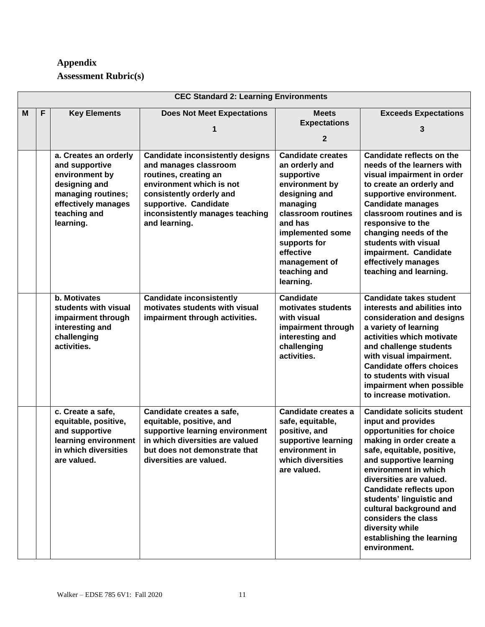# **Appendix**

**Assessment Rubric(s)**

|   | <b>CEC Standard 2: Learning Environments</b> |                                                                                                                                                      |                                                                                                                                                                                                                                |                                                                                                                                                                                                                                         |                                                                                                                                                                                                                                                                                                                                                                                                      |
|---|----------------------------------------------|------------------------------------------------------------------------------------------------------------------------------------------------------|--------------------------------------------------------------------------------------------------------------------------------------------------------------------------------------------------------------------------------|-----------------------------------------------------------------------------------------------------------------------------------------------------------------------------------------------------------------------------------------|------------------------------------------------------------------------------------------------------------------------------------------------------------------------------------------------------------------------------------------------------------------------------------------------------------------------------------------------------------------------------------------------------|
| м | F                                            | <b>Key Elements</b>                                                                                                                                  | <b>Does Not Meet Expectations</b>                                                                                                                                                                                              | <b>Meets</b><br><b>Expectations</b><br>2                                                                                                                                                                                                | <b>Exceeds Expectations</b>                                                                                                                                                                                                                                                                                                                                                                          |
|   |                                              | a. Creates an orderly<br>and supportive<br>environment by<br>designing and<br>managing routines;<br>effectively manages<br>teaching and<br>learning. | <b>Candidate inconsistently designs</b><br>and manages classroom<br>routines, creating an<br>environment which is not<br>consistently orderly and<br>supportive. Candidate<br>inconsistently manages teaching<br>and learning. | <b>Candidate creates</b><br>an orderly and<br>supportive<br>environment by<br>designing and<br>managing<br>classroom routines<br>and has<br>implemented some<br>supports for<br>effective<br>management of<br>teaching and<br>learning. | Candidate reflects on the<br>needs of the learners with<br>visual impairment in order<br>to create an orderly and<br>supportive environment.<br><b>Candidate manages</b><br>classroom routines and is<br>responsive to the<br>changing needs of the<br>students with visual<br>impairment. Candidate<br>effectively manages<br>teaching and learning.                                                |
|   |                                              | b. Motivates<br>students with visual<br>impairment through<br>interesting and<br>challenging<br>activities.                                          | <b>Candidate inconsistently</b><br>motivates students with visual<br>impairment through activities.                                                                                                                            | <b>Candidate</b><br>motivates students<br>with visual<br>impairment through<br>interesting and<br>challenging<br>activities.                                                                                                            | <b>Candidate takes student</b><br>interests and abilities into<br>consideration and designs<br>a variety of learning<br>activities which motivate<br>and challenge students<br>with visual impairment.<br><b>Candidate offers choices</b><br>to students with visual<br>impairment when possible<br>to increase motivation.                                                                          |
|   |                                              | c. Create a safe,<br>equitable, positive,<br>and supportive<br>learning environment<br>in which diversities<br>are valued.                           | Candidate creates a safe,<br>equitable, positive, and<br>supportive learning environment<br>in which diversities are valued<br>but does not demonstrate that<br>diversities are valued.                                        | Candidate creates a<br>safe, equitable,<br>positive, and<br>supportive learning<br>environment in<br>which diversities<br>are valued.                                                                                                   | <b>Candidate solicits student</b><br>input and provides<br>opportunities for choice<br>making in order create a<br>safe, equitable, positive,<br>and supportive learning<br>environment in which<br>diversities are valued.<br>Candidate reflects upon<br>students' linguistic and<br>cultural background and<br>considers the class<br>diversity while<br>establishing the learning<br>environment. |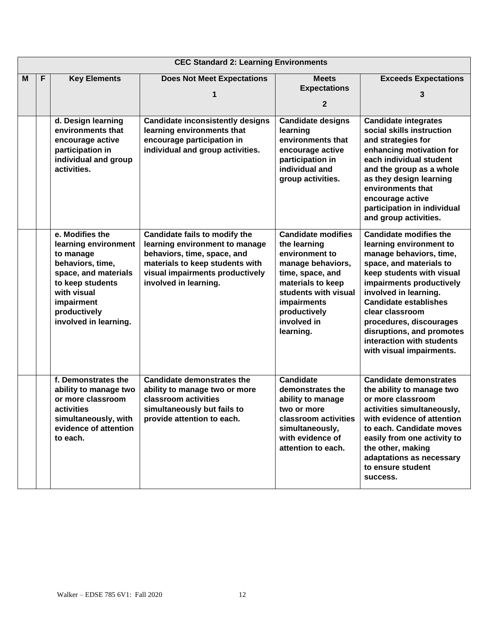|   | <b>CEC Standard 2: Learning Environments</b> |                                                                                                                                                                                            |                                                                                                                                                                                               |                                                                                                                                                                                                              |                                                                                                                                                                                                                                                                                                                                                                      |
|---|----------------------------------------------|--------------------------------------------------------------------------------------------------------------------------------------------------------------------------------------------|-----------------------------------------------------------------------------------------------------------------------------------------------------------------------------------------------|--------------------------------------------------------------------------------------------------------------------------------------------------------------------------------------------------------------|----------------------------------------------------------------------------------------------------------------------------------------------------------------------------------------------------------------------------------------------------------------------------------------------------------------------------------------------------------------------|
| M | F                                            | <b>Key Elements</b>                                                                                                                                                                        | <b>Does Not Meet Expectations</b><br>1                                                                                                                                                        | <b>Meets</b><br><b>Expectations</b><br>$\mathbf{2}$                                                                                                                                                          | <b>Exceeds Expectations</b><br>3                                                                                                                                                                                                                                                                                                                                     |
|   |                                              | d. Design learning<br>environments that<br>encourage active<br>participation in<br>individual and group<br>activities.                                                                     | <b>Candidate inconsistently designs</b><br>learning environments that<br>encourage participation in<br>individual and group activities.                                                       | <b>Candidate designs</b><br>learning<br>environments that<br>encourage active<br>participation in<br>individual and<br>group activities.                                                                     | <b>Candidate integrates</b><br>social skills instruction<br>and strategies for<br>enhancing motivation for<br>each individual student<br>and the group as a whole<br>as they design learning<br>environments that<br>encourage active<br>participation in individual<br>and group activities.                                                                        |
|   |                                              | e. Modifies the<br>learning environment<br>to manage<br>behaviors, time,<br>space, and materials<br>to keep students<br>with visual<br>impairment<br>productively<br>involved in learning. | Candidate fails to modify the<br>learning environment to manage<br>behaviors, time, space, and<br>materials to keep students with<br>visual impairments productively<br>involved in learning. | <b>Candidate modifies</b><br>the learning<br>environment to<br>manage behaviors,<br>time, space, and<br>materials to keep<br>students with visual<br>impairments<br>productively<br>involved in<br>learning. | <b>Candidate modifies the</b><br>learning environment to<br>manage behaviors, time,<br>space, and materials to<br>keep students with visual<br>impairments productively<br>involved in learning.<br><b>Candidate establishes</b><br>clear classroom<br>procedures, discourages<br>disruptions, and promotes<br>interaction with students<br>with visual impairments. |
|   |                                              | f. Demonstrates the<br>ability to manage two<br>or more classroom<br>activities<br>simultaneously, with<br>evidence of attention<br>to each.                                               | <b>Candidate demonstrates the</b><br>ability to manage two or more<br>classroom activities<br>simultaneously but fails to<br>provide attention to each.                                       | <b>Candidate</b><br>demonstrates the<br>ability to manage<br>two or more<br>classroom activities<br>simultaneously,<br>with evidence of<br>attention to each.                                                | <b>Candidate demonstrates</b><br>the ability to manage two<br>or more classroom<br>activities simultaneously,<br>with evidence of attention<br>to each. Candidate moves<br>easily from one activity to<br>the other, making<br>adaptations as necessary<br>to ensure student<br>success.                                                                             |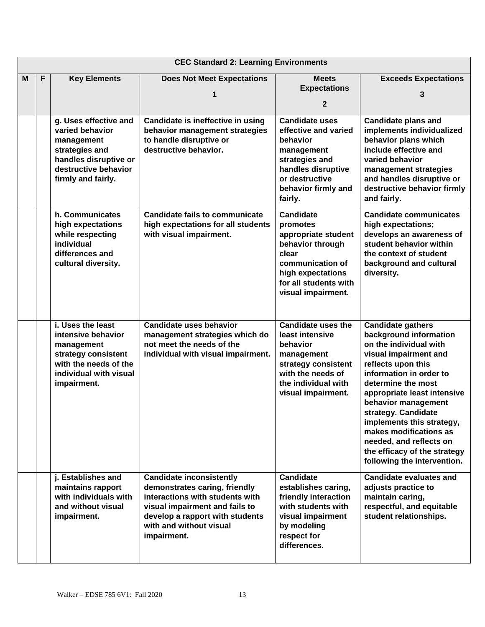|   | <b>CEC Standard 2: Learning Environments</b> |                                                                                                                                                 |                                                                                                                                                                                                                    |                                                                                                                                                                          |                                                                                                                                                                                                                                                                                                                                                                                                            |
|---|----------------------------------------------|-------------------------------------------------------------------------------------------------------------------------------------------------|--------------------------------------------------------------------------------------------------------------------------------------------------------------------------------------------------------------------|--------------------------------------------------------------------------------------------------------------------------------------------------------------------------|------------------------------------------------------------------------------------------------------------------------------------------------------------------------------------------------------------------------------------------------------------------------------------------------------------------------------------------------------------------------------------------------------------|
| M | F                                            | <b>Key Elements</b>                                                                                                                             | <b>Does Not Meet Expectations</b><br>1                                                                                                                                                                             | <b>Meets</b><br><b>Expectations</b><br>$\mathbf{2}$                                                                                                                      | <b>Exceeds Expectations</b><br>3                                                                                                                                                                                                                                                                                                                                                                           |
|   |                                              | g. Uses effective and<br>varied behavior<br>management<br>strategies and<br>handles disruptive or<br>destructive behavior<br>firmly and fairly. | Candidate is ineffective in using<br>behavior management strategies<br>to handle disruptive or<br>destructive behavior.                                                                                            | <b>Candidate uses</b><br>effective and varied<br>behavior<br>management<br>strategies and<br>handles disruptive<br>or destructive<br>behavior firmly and<br>fairly.      | <b>Candidate plans and</b><br>implements individualized<br>behavior plans which<br>include effective and<br>varied behavior<br>management strategies<br>and handles disruptive or<br>destructive behavior firmly<br>and fairly.                                                                                                                                                                            |
|   |                                              | h. Communicates<br>high expectations<br>while respecting<br>individual<br>differences and<br>cultural diversity.                                | <b>Candidate fails to communicate</b><br>high expectations for all students<br>with visual impairment.                                                                                                             | <b>Candidate</b><br>promotes<br>appropriate student<br>behavior through<br>clear<br>communication of<br>high expectations<br>for all students with<br>visual impairment. | <b>Candidate communicates</b><br>high expectations;<br>develops an awareness of<br>student behavior within<br>the context of student<br>background and cultural<br>diversity.                                                                                                                                                                                                                              |
|   |                                              | i. Uses the least<br>intensive behavior<br>management<br>strategy consistent<br>with the needs of the<br>individual with visual<br>impairment.  | <b>Candidate uses behavior</b><br>management strategies which do<br>not meet the needs of the<br>individual with visual impairment.                                                                                | <b>Candidate uses the</b><br>least intensive<br>behavior<br>management<br>strategy consistent<br>with the needs of<br>the individual with<br>visual impairment.          | <b>Candidate gathers</b><br>background information<br>on the individual with<br>visual impairment and<br>reflects upon this<br>information in order to<br>determine the most<br>appropriate least intensive<br>behavior management<br>strategy. Candidate<br>implements this strategy,<br>makes modifications as<br>needed, and reflects on<br>the efficacy of the strategy<br>following the intervention. |
|   |                                              | j. Establishes and<br>maintains rapport<br>with individuals with<br>and without visual<br>impairment.                                           | <b>Candidate inconsistently</b><br>demonstrates caring, friendly<br>interactions with students with<br>visual impairment and fails to<br>develop a rapport with students<br>with and without visual<br>impairment. | <b>Candidate</b><br>establishes caring,<br>friendly interaction<br>with students with<br>visual impairment<br>by modeling<br>respect for<br>differences.                 | <b>Candidate evaluates and</b><br>adjusts practice to<br>maintain caring,<br>respectful, and equitable<br>student relationships.                                                                                                                                                                                                                                                                           |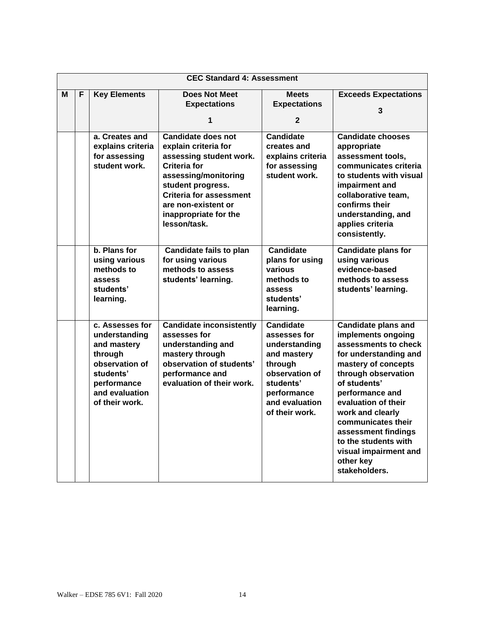|   | <b>CEC Standard 4: Assessment</b> |                          |                                                       |                           |                                       |  |
|---|-----------------------------------|--------------------------|-------------------------------------------------------|---------------------------|---------------------------------------|--|
| м | F                                 | <b>Key Elements</b>      | <b>Does Not Meet</b>                                  | <b>Meets</b>              | <b>Exceeds Expectations</b>           |  |
|   |                                   |                          | <b>Expectations</b>                                   | <b>Expectations</b>       |                                       |  |
|   |                                   |                          | 1                                                     | $\mathbf{2}$              | 3                                     |  |
|   |                                   |                          |                                                       |                           |                                       |  |
|   |                                   | a. Creates and           | <b>Candidate does not</b>                             | <b>Candidate</b>          | <b>Candidate chooses</b>              |  |
|   |                                   | explains criteria        | explain criteria for                                  | creates and               | appropriate                           |  |
|   |                                   | for assessing            | assessing student work.                               | explains criteria         | assessment tools,                     |  |
|   |                                   | student work.            | <b>Criteria for</b>                                   | for assessing             | communicates criteria                 |  |
|   |                                   |                          | assessing/monitoring                                  | student work.             | to students with visual               |  |
|   |                                   |                          | student progress.                                     |                           | impairment and                        |  |
|   |                                   |                          | <b>Criteria for assessment</b><br>are non-existent or |                           | collaborative team,<br>confirms their |  |
|   |                                   |                          | inappropriate for the                                 |                           | understanding, and                    |  |
|   |                                   |                          | lesson/task.                                          |                           | applies criteria                      |  |
|   |                                   |                          |                                                       |                           | consistently.                         |  |
|   |                                   |                          |                                                       |                           |                                       |  |
|   |                                   | b. Plans for             | <b>Candidate fails to plan</b>                        | <b>Candidate</b>          | <b>Candidate plans for</b>            |  |
|   |                                   | using various            | for using various                                     | plans for using           | using various                         |  |
|   |                                   | methods to               | methods to assess                                     | various                   | evidence-based                        |  |
|   |                                   | assess                   | students' learning.                                   | methods to                | methods to assess                     |  |
|   |                                   | students'                |                                                       | assess<br>students'       | students' learning.                   |  |
|   |                                   | learning.                |                                                       | learning.                 |                                       |  |
|   |                                   |                          |                                                       |                           |                                       |  |
|   |                                   | c. Assesses for          | <b>Candidate inconsistently</b>                       | <b>Candidate</b>          | <b>Candidate plans and</b>            |  |
|   |                                   | understanding            | assesses for                                          | assesses for              | implements ongoing                    |  |
|   |                                   | and mastery              | understanding and                                     | understanding             | assessments to check                  |  |
|   |                                   | through                  | mastery through                                       | and mastery               | for understanding and                 |  |
|   |                                   | observation of           | observation of students'                              | through<br>observation of | mastery of concepts                   |  |
|   |                                   | students'<br>performance | performance and<br>evaluation of their work.          | students'                 | through observation<br>of students'   |  |
|   |                                   | and evaluation           |                                                       | performance               | performance and                       |  |
|   |                                   | of their work.           |                                                       | and evaluation            | evaluation of their                   |  |
|   |                                   |                          |                                                       | of their work.            | work and clearly                      |  |
|   |                                   |                          |                                                       |                           | communicates their                    |  |
|   |                                   |                          |                                                       |                           | assessment findings                   |  |
|   |                                   |                          |                                                       |                           | to the students with                  |  |
|   |                                   |                          |                                                       |                           | visual impairment and                 |  |
|   |                                   |                          |                                                       |                           | other key                             |  |
|   |                                   |                          |                                                       |                           | stakeholders.                         |  |
|   |                                   |                          |                                                       |                           |                                       |  |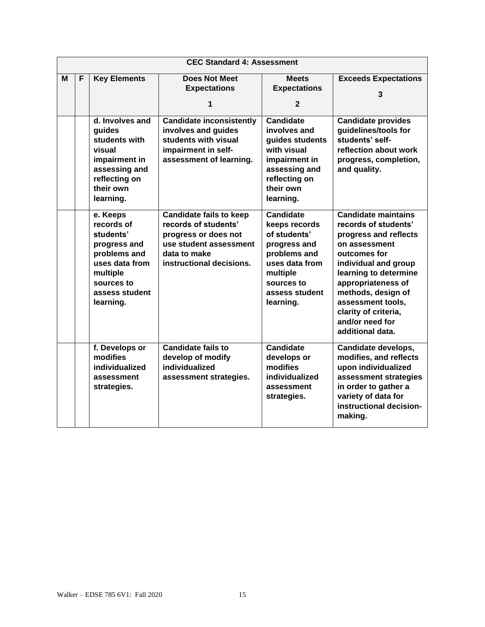|   | <b>CEC Standard 4: Assessment</b> |                                                                                                                                                |                                                                                                                                                      |                                                                                                                                                              |                                                                                                                                                                                                                                                                                               |  |
|---|-----------------------------------|------------------------------------------------------------------------------------------------------------------------------------------------|------------------------------------------------------------------------------------------------------------------------------------------------------|--------------------------------------------------------------------------------------------------------------------------------------------------------------|-----------------------------------------------------------------------------------------------------------------------------------------------------------------------------------------------------------------------------------------------------------------------------------------------|--|
| M | F                                 | <b>Key Elements</b>                                                                                                                            | <b>Does Not Meet</b><br><b>Expectations</b><br>1                                                                                                     | <b>Meets</b><br><b>Expectations</b><br>$\mathbf{2}$                                                                                                          | <b>Exceeds Expectations</b><br>3                                                                                                                                                                                                                                                              |  |
|   |                                   | d. Involves and<br>guides<br>students with<br>visual<br>impairment in<br>assessing and<br>reflecting on<br>their own<br>learning.              | <b>Candidate inconsistently</b><br>involves and guides<br>students with visual<br>impairment in self-<br>assessment of learning.                     | <b>Candidate</b><br>involves and<br>guides students<br>with visual<br>impairment in<br>assessing and<br>reflecting on<br>their own<br>learning.              | <b>Candidate provides</b><br>guidelines/tools for<br>students' self-<br>reflection about work<br>progress, completion,<br>and quality.                                                                                                                                                        |  |
|   |                                   | e. Keeps<br>records of<br>students'<br>progress and<br>problems and<br>uses data from<br>multiple<br>sources to<br>assess student<br>learning. | <b>Candidate fails to keep</b><br>records of students'<br>progress or does not<br>use student assessment<br>data to make<br>instructional decisions. | <b>Candidate</b><br>keeps records<br>of students'<br>progress and<br>problems and<br>uses data from<br>multiple<br>sources to<br>assess student<br>learning. | <b>Candidate maintains</b><br>records of students'<br>progress and reflects<br>on assessment<br>outcomes for<br>individual and group<br>learning to determine<br>appropriateness of<br>methods, design of<br>assessment tools,<br>clarity of criteria,<br>and/or need for<br>additional data. |  |
|   |                                   | f. Develops or<br>modifies<br>individualized<br>assessment<br>strategies.                                                                      | <b>Candidate fails to</b><br>develop of modify<br>individualized<br>assessment strategies.                                                           | <b>Candidate</b><br>develops or<br>modifies<br>individualized<br>assessment<br>strategies.                                                                   | Candidate develops,<br>modifies, and reflects<br>upon individualized<br>assessment strategies<br>in order to gather a<br>variety of data for<br>instructional decision-<br>making.                                                                                                            |  |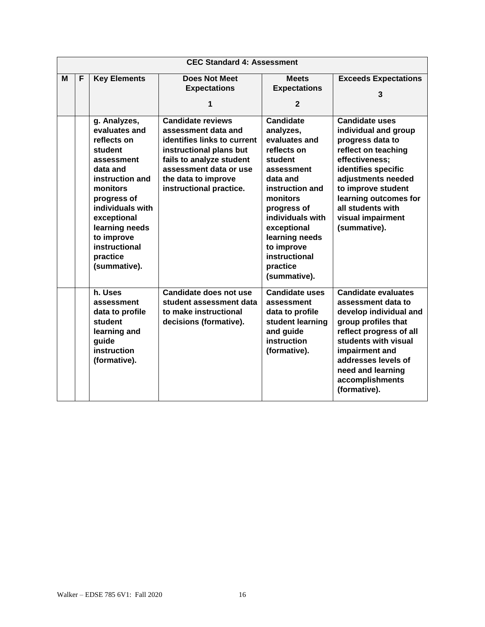|   | <b>CEC Standard 4: Assessment</b> |                                                                                                                                                                                                                                                 |                                                                                                                                                                                                                   |                                                                                                                                                                                                                                                                  |                                                                                                                                                                                                                                                                  |  |  |
|---|-----------------------------------|-------------------------------------------------------------------------------------------------------------------------------------------------------------------------------------------------------------------------------------------------|-------------------------------------------------------------------------------------------------------------------------------------------------------------------------------------------------------------------|------------------------------------------------------------------------------------------------------------------------------------------------------------------------------------------------------------------------------------------------------------------|------------------------------------------------------------------------------------------------------------------------------------------------------------------------------------------------------------------------------------------------------------------|--|--|
| M | F                                 | <b>Key Elements</b>                                                                                                                                                                                                                             | <b>Does Not Meet</b><br><b>Expectations</b><br>1                                                                                                                                                                  | <b>Meets</b><br><b>Expectations</b><br>$\overline{2}$                                                                                                                                                                                                            | <b>Exceeds Expectations</b><br>3                                                                                                                                                                                                                                 |  |  |
|   |                                   | g. Analyzes,<br>evaluates and<br>reflects on<br>student<br>assessment<br>data and<br>instruction and<br>monitors<br>progress of<br>individuals with<br>exceptional<br>learning needs<br>to improve<br>instructional<br>practice<br>(summative). | <b>Candidate reviews</b><br>assessment data and<br>identifies links to current<br>instructional plans but<br>fails to analyze student<br>assessment data or use<br>the data to improve<br>instructional practice. | <b>Candidate</b><br>analyzes,<br>evaluates and<br>reflects on<br>student<br>assessment<br>data and<br>instruction and<br>monitors<br>progress of<br>individuals with<br>exceptional<br>learning needs<br>to improve<br>instructional<br>practice<br>(summative). | <b>Candidate uses</b><br>individual and group<br>progress data to<br>reflect on teaching<br>effectiveness;<br>identifies specific<br>adjustments needed<br>to improve student<br>learning outcomes for<br>all students with<br>visual impairment<br>(summative). |  |  |
|   |                                   | h. Uses<br>assessment<br>data to profile<br>student<br>learning and<br>guide<br>instruction<br>(formative).                                                                                                                                     | <b>Candidate does not use</b><br>student assessment data<br>to make instructional<br>decisions (formative).                                                                                                       | <b>Candidate uses</b><br>assessment<br>data to profile<br>student learning<br>and guide<br>instruction<br>(formative).                                                                                                                                           | <b>Candidate evaluates</b><br>assessment data to<br>develop individual and<br>group profiles that<br>reflect progress of all<br>students with visual<br>impairment and<br>addresses levels of<br>need and learning<br>accomplishments<br>(formative).            |  |  |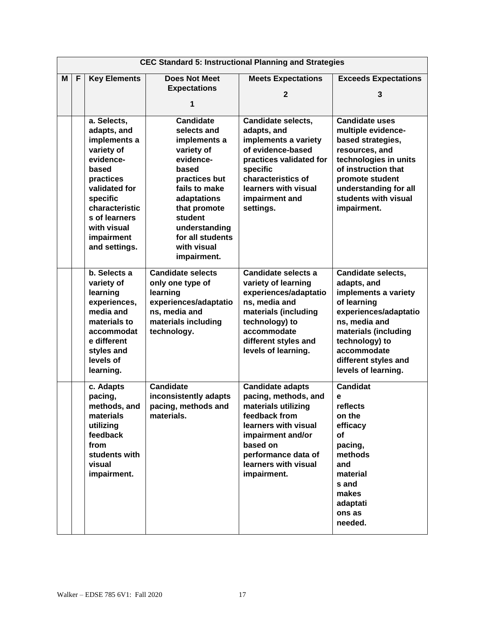|   | <b>CEC Standard 5: Instructional Planning and Strategies</b> |                                                                                                                                                                                                           |                                                                                                                                                                                                                          |                                                                                                                                                                                                                |                                                                                                                                                                                                                                   |
|---|--------------------------------------------------------------|-----------------------------------------------------------------------------------------------------------------------------------------------------------------------------------------------------------|--------------------------------------------------------------------------------------------------------------------------------------------------------------------------------------------------------------------------|----------------------------------------------------------------------------------------------------------------------------------------------------------------------------------------------------------------|-----------------------------------------------------------------------------------------------------------------------------------------------------------------------------------------------------------------------------------|
| М | F                                                            | <b>Key Elements</b>                                                                                                                                                                                       | <b>Does Not Meet</b><br><b>Expectations</b>                                                                                                                                                                              | <b>Meets Expectations</b><br>$\mathbf{2}$                                                                                                                                                                      | <b>Exceeds Expectations</b><br>3                                                                                                                                                                                                  |
|   |                                                              | a. Selects,<br>adapts, and<br>implements a<br>variety of<br>evidence-<br>based<br>practices<br>validated for<br>specific<br>characteristic<br>s of learners<br>with visual<br>impairment<br>and settings. | 1<br><b>Candidate</b><br>selects and<br>implements a<br>variety of<br>evidence-<br>based<br>practices but<br>fails to make<br>adaptations<br>that promote<br>student<br>understanding<br>for all students<br>with visual | <b>Candidate selects,</b><br>adapts, and<br>implements a variety<br>of evidence-based<br>practices validated for<br>specific<br>characteristics of<br>learners with visual<br>impairment and<br>settings.      | <b>Candidate uses</b><br>multiple evidence-<br>based strategies,<br>resources, and<br>technologies in units<br>of instruction that<br>promote student<br>understanding for all<br>students with visual<br>impairment.             |
|   |                                                              | b. Selects a<br>variety of<br>learning<br>experiences,<br>media and<br>materials to<br>accommodat<br>e different<br>styles and<br>levels of<br>learning.                                                  | impairment.<br><b>Candidate selects</b><br>only one type of<br>learning<br>experiences/adaptatio<br>ns, media and<br>materials including<br>technology.                                                                  | Candidate selects a<br>variety of learning<br>experiences/adaptatio<br>ns, media and<br>materials (including<br>technology) to<br>accommodate<br>different styles and<br>levels of learning.                   | <b>Candidate selects,</b><br>adapts, and<br>implements a variety<br>of learning<br>experiences/adaptatio<br>ns, media and<br>materials (including<br>technology) to<br>accommodate<br>different styles and<br>levels of learning. |
|   |                                                              | c. Adapts<br>pacing,<br>methods, and<br>materials<br>utilizing<br>feedback<br>from<br>students with<br>visual<br>impairment.                                                                              | <b>Candidate</b><br>inconsistently adapts<br>pacing, methods and<br>materials.                                                                                                                                           | <b>Candidate adapts</b><br>pacing, methods, and<br>materials utilizing<br>feedback from<br>learners with visual<br>impairment and/or<br>based on<br>performance data of<br>learners with visual<br>impairment. | <b>Candidat</b><br>e<br>reflects<br>on the<br>efficacy<br>of<br>pacing,<br>methods<br>and<br>material<br>s and<br>makes<br>adaptati<br>ons as<br>needed.                                                                          |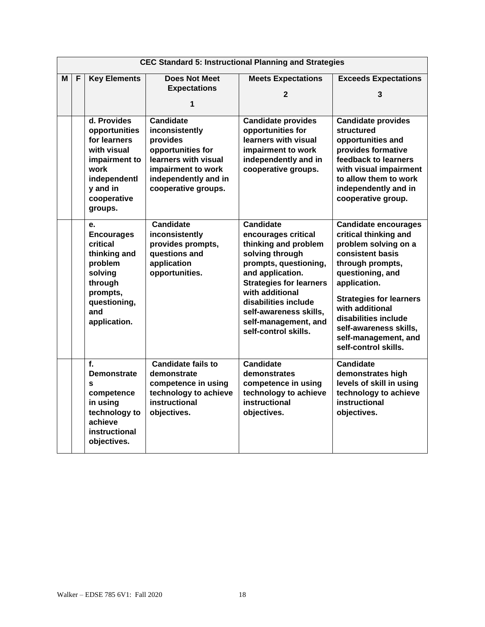|   | <b>CEC Standard 5: Instructional Planning and Strategies</b> |                                                                                                                                            |                                                                                                                                                                  |                                                                                                                                                                                                                                                                                        |                                                                                                                                                                                                                                                                                                                 |
|---|--------------------------------------------------------------|--------------------------------------------------------------------------------------------------------------------------------------------|------------------------------------------------------------------------------------------------------------------------------------------------------------------|----------------------------------------------------------------------------------------------------------------------------------------------------------------------------------------------------------------------------------------------------------------------------------------|-----------------------------------------------------------------------------------------------------------------------------------------------------------------------------------------------------------------------------------------------------------------------------------------------------------------|
| М | F                                                            | <b>Key Elements</b>                                                                                                                        | <b>Does Not Meet</b><br><b>Expectations</b><br>1                                                                                                                 | <b>Meets Expectations</b><br>2                                                                                                                                                                                                                                                         | <b>Exceeds Expectations</b><br>3                                                                                                                                                                                                                                                                                |
|   |                                                              | d. Provides<br>opportunities<br>for learners<br>with visual<br>impairment to<br>work<br>independentl<br>y and in<br>cooperative<br>groups. | <b>Candidate</b><br>inconsistently<br>provides<br>opportunities for<br>learners with visual<br>impairment to work<br>independently and in<br>cooperative groups. | Candidate provides<br>opportunities for<br>learners with visual<br>impairment to work<br>independently and in<br>cooperative groups.                                                                                                                                                   | <b>Candidate provides</b><br>structured<br>opportunities and<br>provides formative<br>feedback to learners<br>with visual impairment<br>to allow them to work<br>independently and in<br>cooperative group.                                                                                                     |
|   |                                                              | е.<br><b>Encourages</b><br>critical<br>thinking and<br>problem<br>solving<br>through<br>prompts,<br>questioning,<br>and<br>application.    | <b>Candidate</b><br>inconsistently<br>provides prompts,<br>questions and<br>application<br>opportunities.                                                        | <b>Candidate</b><br>encourages critical<br>thinking and problem<br>solving through<br>prompts, questioning,<br>and application.<br><b>Strategies for learners</b><br>with additional<br>disabilities include<br>self-awareness skills,<br>self-management, and<br>self-control skills. | <b>Candidate encourages</b><br>critical thinking and<br>problem solving on a<br>consistent basis<br>through prompts,<br>questioning, and<br>application.<br><b>Strategies for learners</b><br>with additional<br>disabilities include<br>self-awareness skills,<br>self-management, and<br>self-control skills. |
|   |                                                              | f.<br><b>Demonstrate</b><br>S<br>competence<br>in using<br>technology to<br>achieve<br>instructional<br>objectives.                        | <b>Candidate fails to</b><br>demonstrate<br>competence in using<br>technology to achieve<br>instructional<br>objectives.                                         | <b>Candidate</b><br>demonstrates<br>competence in using<br>technology to achieve<br>instructional<br>objectives.                                                                                                                                                                       | <b>Candidate</b><br>demonstrates high<br>levels of skill in using<br>technology to achieve<br>instructional<br>objectives.                                                                                                                                                                                      |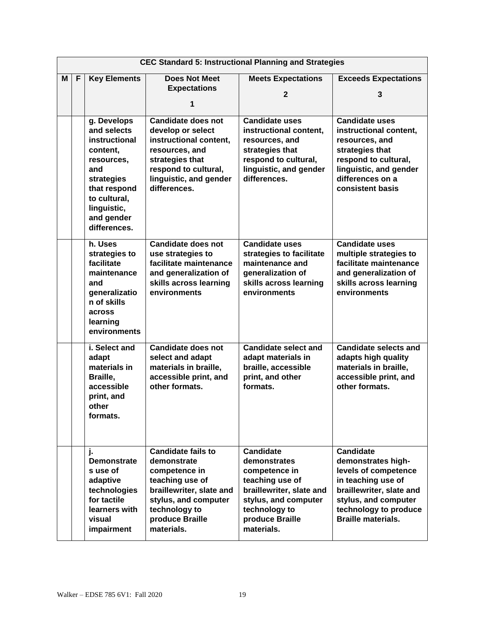|   | <b>CEC Standard 5: Instructional Planning and Strategies</b> |                                                                                                                                                                         |                                                                                                                                                                                    |                                                                                                                                                                            |                                                                                                                                                                                                |
|---|--------------------------------------------------------------|-------------------------------------------------------------------------------------------------------------------------------------------------------------------------|------------------------------------------------------------------------------------------------------------------------------------------------------------------------------------|----------------------------------------------------------------------------------------------------------------------------------------------------------------------------|------------------------------------------------------------------------------------------------------------------------------------------------------------------------------------------------|
| М | F                                                            | <b>Key Elements</b>                                                                                                                                                     | <b>Does Not Meet</b><br><b>Expectations</b><br>1                                                                                                                                   | <b>Meets Expectations</b><br>2                                                                                                                                             | <b>Exceeds Expectations</b><br>3                                                                                                                                                               |
|   |                                                              | g. Develops<br>and selects<br>instructional<br>content,<br>resources,<br>and<br>strategies<br>that respond<br>to cultural,<br>linguistic,<br>and gender<br>differences. | <b>Candidate does not</b><br>develop or select<br>instructional content,<br>resources, and<br>strategies that<br>respond to cultural,<br>linguistic, and gender<br>differences.    | <b>Candidate uses</b><br>instructional content,<br>resources, and<br>strategies that<br>respond to cultural,<br>linguistic, and gender<br>differences.                     | <b>Candidate uses</b><br>instructional content,<br>resources, and<br>strategies that<br>respond to cultural,<br>linguistic, and gender<br>differences on a<br>consistent basis                 |
|   |                                                              | h. Uses<br>strategies to<br>facilitate<br>maintenance<br>and<br>generalizatio<br>n of skills<br>across<br>learning<br>environments                                      | Candidate does not<br>use strategies to<br>facilitate maintenance<br>and generalization of<br>skills across learning<br>environments                                               | <b>Candidate uses</b><br>strategies to facilitate<br>maintenance and<br>generalization of<br>skills across learning<br>environments                                        | <b>Candidate uses</b><br>multiple strategies to<br>facilitate maintenance<br>and generalization of<br>skills across learning<br>environments                                                   |
|   |                                                              | i. Select and<br>adapt<br>materials in<br>Braille,<br>accessible<br>print, and<br>other<br>formats.                                                                     | <b>Candidate does not</b><br>select and adapt<br>materials in braille,<br>accessible print, and<br>other formats.                                                                  | <b>Candidate select and</b><br>adapt materials in<br>braille, accessible<br>print, and other<br>formats.                                                                   | <b>Candidate selects and</b><br>adapts high quality<br>materials in braille,<br>accessible print, and<br>other formats.                                                                        |
|   |                                                              | Ъ<br><b>Demonstrate</b><br>s use of<br>adaptive<br>technologies<br>for tactile<br>learners with<br>visual<br>impairment                                                 | <b>Candidate fails to</b><br>demonstrate<br>competence in<br>teaching use of<br>braillewriter, slate and<br>stylus, and computer<br>technology to<br>produce Braille<br>materials. | <b>Candidate</b><br>demonstrates<br>competence in<br>teaching use of<br>braillewriter, slate and<br>stylus, and computer<br>technology to<br>produce Braille<br>materials. | <b>Candidate</b><br>demonstrates high-<br>levels of competence<br>in teaching use of<br>braillewriter, slate and<br>stylus, and computer<br>technology to produce<br><b>Braille materials.</b> |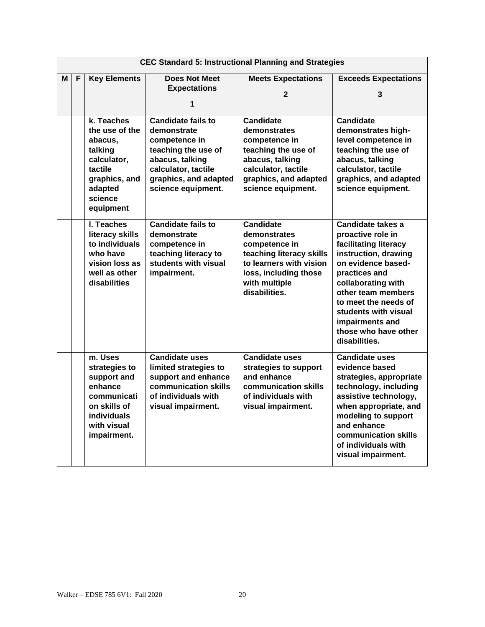|   | <b>CEC Standard 5: Instructional Planning and Strategies</b> |                            |                                              |                                                     |                                             |
|---|--------------------------------------------------------------|----------------------------|----------------------------------------------|-----------------------------------------------------|---------------------------------------------|
| М | F                                                            | <b>Key Elements</b>        | <b>Does Not Meet</b>                         | <b>Meets Expectations</b>                           | <b>Exceeds Expectations</b>                 |
|   |                                                              |                            | <b>Expectations</b>                          | 2                                                   | 3                                           |
|   |                                                              |                            | 1                                            |                                                     |                                             |
|   |                                                              |                            |                                              |                                                     |                                             |
|   |                                                              | k. Teaches                 | Candidate fails to                           | <b>Candidate</b>                                    | <b>Candidate</b>                            |
|   |                                                              | the use of the             | demonstrate                                  | demonstrates                                        | demonstrates high-                          |
|   |                                                              | abacus.                    | competence in                                | competence in                                       | level competence in                         |
|   |                                                              | talking                    | teaching the use of                          | teaching the use of                                 | teaching the use of                         |
|   |                                                              | calculator,                | abacus, talking                              | abacus, talking                                     | abacus, talking                             |
|   |                                                              | tactile                    | calculator, tactile                          | calculator, tactile                                 | calculator, tactile                         |
|   |                                                              | graphics, and<br>adapted   | graphics, and adapted<br>science equipment.  | graphics, and adapted<br>science equipment.         | graphics, and adapted<br>science equipment. |
|   |                                                              | science                    |                                              |                                                     |                                             |
|   |                                                              | equipment                  |                                              |                                                     |                                             |
|   |                                                              |                            |                                              |                                                     |                                             |
|   |                                                              | I. Teaches                 | <b>Candidate fails to</b>                    | <b>Candidate</b>                                    | <b>Candidate takes a</b>                    |
|   |                                                              | literacy skills            | demonstrate                                  | demonstrates                                        | proactive role in                           |
|   |                                                              | to individuals<br>who have | competence in                                | competence in                                       | facilitating literacy                       |
|   |                                                              | vision loss as             | teaching literacy to<br>students with visual | teaching literacy skills<br>to learners with vision | instruction, drawing<br>on evidence based-  |
|   |                                                              | well as other              | impairment.                                  | loss, including those                               | practices and                               |
|   |                                                              | disabilities               |                                              | with multiple                                       | collaborating with                          |
|   |                                                              |                            |                                              | disabilities.                                       | other team members                          |
|   |                                                              |                            |                                              |                                                     | to meet the needs of                        |
|   |                                                              |                            |                                              |                                                     | students with visual                        |
|   |                                                              |                            |                                              |                                                     | impairments and                             |
|   |                                                              |                            |                                              |                                                     | those who have other                        |
|   |                                                              |                            |                                              |                                                     | disabilities.                               |
|   |                                                              | m. Uses                    | <b>Candidate uses</b>                        | <b>Candidate uses</b>                               | Candidate uses                              |
|   |                                                              | strategies to              | limited strategies to                        | strategies to support                               | evidence based                              |
|   |                                                              | support and                | support and enhance                          | and enhance                                         | strategies, appropriate                     |
|   |                                                              | enhance                    | communication skills                         | communication skills                                | technology, including                       |
|   |                                                              | communicati                | of individuals with                          | of individuals with                                 | assistive technology,                       |
|   |                                                              | on skills of               | visual impairment.                           | visual impairment.                                  | when appropriate, and                       |
|   |                                                              | <b>individuals</b>         |                                              |                                                     | modeling to support                         |
|   |                                                              | with visual                |                                              |                                                     | and enhance                                 |
|   |                                                              | impairment.                |                                              |                                                     | communication skills                        |
|   |                                                              |                            |                                              |                                                     | of individuals with                         |
|   |                                                              |                            |                                              |                                                     | visual impairment.                          |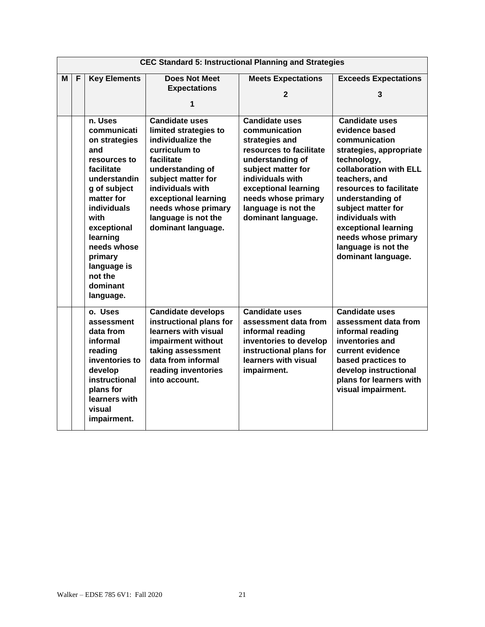|   | <b>CEC Standard 5: Instructional Planning and Strategies</b> |                                                                                                                                                                                                                                                                  |                                                                                                                                                                                                                                                              |                                                                                                                                                                                                                                               |                                                                                                                                                                                                                                                                                                                                    |
|---|--------------------------------------------------------------|------------------------------------------------------------------------------------------------------------------------------------------------------------------------------------------------------------------------------------------------------------------|--------------------------------------------------------------------------------------------------------------------------------------------------------------------------------------------------------------------------------------------------------------|-----------------------------------------------------------------------------------------------------------------------------------------------------------------------------------------------------------------------------------------------|------------------------------------------------------------------------------------------------------------------------------------------------------------------------------------------------------------------------------------------------------------------------------------------------------------------------------------|
| м | F                                                            | <b>Key Elements</b>                                                                                                                                                                                                                                              | <b>Does Not Meet</b><br><b>Expectations</b><br>1                                                                                                                                                                                                             | <b>Meets Expectations</b><br>$\mathfrak{p}$                                                                                                                                                                                                   | <b>Exceeds Expectations</b><br>3                                                                                                                                                                                                                                                                                                   |
|   |                                                              | n. Uses<br>communicati<br>on strategies<br>and<br>resources to<br>facilitate<br>understandin<br>g of subject<br>matter for<br><b>individuals</b><br>with<br>exceptional<br>learning<br>needs whose<br>primary<br>language is<br>not the<br>dominant<br>language. | <b>Candidate uses</b><br>limited strategies to<br>individualize the<br>curriculum to<br>facilitate<br>understanding of<br>subject matter for<br>individuals with<br>exceptional learning<br>needs whose primary<br>language is not the<br>dominant language. | <b>Candidate uses</b><br>communication<br>strategies and<br>resources to facilitate<br>understanding of<br>subject matter for<br>individuals with<br>exceptional learning<br>needs whose primary<br>language is not the<br>dominant language. | <b>Candidate uses</b><br>evidence based<br>communication<br>strategies, appropriate<br>technology,<br>collaboration with ELL<br>teachers, and<br>resources to facilitate<br>understanding of<br>subject matter for<br>individuals with<br>exceptional learning<br>needs whose primary<br>language is not the<br>dominant language. |
|   |                                                              | o. Uses<br>assessment<br>data from<br>informal<br>reading<br>inventories to<br>develop<br>instructional<br>plans for<br>learners with<br>visual<br>impairment.                                                                                                   | <b>Candidate develops</b><br>instructional plans for<br>learners with visual<br>impairment without<br>taking assessment<br>data from informal<br>reading inventories<br>into account.                                                                        | <b>Candidate uses</b><br>assessment data from<br>informal reading<br>inventories to develop<br>instructional plans for<br>learners with visual<br>impairment.                                                                                 | <b>Candidate uses</b><br>assessment data from<br>informal reading<br>inventories and<br>current evidence<br>based practices to<br>develop instructional<br>plans for learners with<br>visual impairment.                                                                                                                           |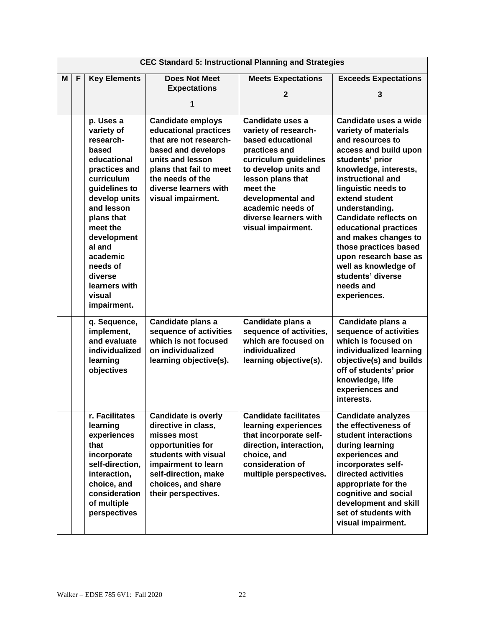|   | <b>CEC Standard 5: Instructional Planning and Strategies</b> |                                                                                                                                                                                                                                                                             |                                                                                                                                                                                                                     |                                                                                                                                                                                                                                                           |                                                                                                                                                                                                                                                                                                                                                                                                                              |  |  |
|---|--------------------------------------------------------------|-----------------------------------------------------------------------------------------------------------------------------------------------------------------------------------------------------------------------------------------------------------------------------|---------------------------------------------------------------------------------------------------------------------------------------------------------------------------------------------------------------------|-----------------------------------------------------------------------------------------------------------------------------------------------------------------------------------------------------------------------------------------------------------|------------------------------------------------------------------------------------------------------------------------------------------------------------------------------------------------------------------------------------------------------------------------------------------------------------------------------------------------------------------------------------------------------------------------------|--|--|
| М | F                                                            | <b>Key Elements</b>                                                                                                                                                                                                                                                         | <b>Does Not Meet</b><br><b>Expectations</b><br>1                                                                                                                                                                    | <b>Meets Expectations</b><br>$\mathbf{2}$                                                                                                                                                                                                                 | <b>Exceeds Expectations</b><br>3                                                                                                                                                                                                                                                                                                                                                                                             |  |  |
|   |                                                              | p. Uses a<br>variety of<br>research-<br>based<br>educational<br>practices and<br>curriculum<br>guidelines to<br>develop units<br>and lesson<br>plans that<br>meet the<br>development<br>al and<br>academic<br>needs of<br>diverse<br>learners with<br>visual<br>impairment. | <b>Candidate employs</b><br>educational practices<br>that are not research-<br>based and develops<br>units and lesson<br>plans that fail to meet<br>the needs of the<br>diverse learners with<br>visual impairment. | Candidate uses a<br>variety of research-<br>based educational<br>practices and<br>curriculum guidelines<br>to develop units and<br>lesson plans that<br>meet the<br>developmental and<br>academic needs of<br>diverse learners with<br>visual impairment. | Candidate uses a wide<br>variety of materials<br>and resources to<br>access and build upon<br>students' prior<br>knowledge, interests,<br>instructional and<br>linguistic needs to<br>extend student<br>understanding.<br>Candidate reflects on<br>educational practices<br>and makes changes to<br>those practices based<br>upon research base as<br>well as knowledge of<br>students' diverse<br>needs and<br>experiences. |  |  |
|   |                                                              | q. Sequence,<br>implement,<br>and evaluate<br>individualized<br>learning<br>objectives                                                                                                                                                                                      | Candidate plans a<br>sequence of activities<br>which is not focused<br>on individualized<br>learning objective(s).                                                                                                  | Candidate plans a<br>sequence of activities,<br>which are focused on<br>individualized<br>learning objective(s).                                                                                                                                          | Candidate plans a<br>sequence of activities<br>which is focused on<br>individualized learning<br>objective(s) and builds<br>off of students' prior<br>knowledge, life<br>experiences and<br>interests.                                                                                                                                                                                                                       |  |  |
|   |                                                              | r. Facilitates<br>learning<br>experiences<br>that<br>incorporate<br>self-direction,<br>interaction,<br>choice, and<br>consideration<br>of multiple<br>perspectives                                                                                                          | <b>Candidate is overly</b><br>directive in class,<br>misses most<br>opportunities for<br>students with visual<br>impairment to learn<br>self-direction, make<br>choices, and share<br>their perspectives.           | <b>Candidate facilitates</b><br>learning experiences<br>that incorporate self-<br>direction, interaction,<br>choice, and<br>consideration of<br>multiple perspectives.                                                                                    | <b>Candidate analyzes</b><br>the effectiveness of<br>student interactions<br>during learning<br>experiences and<br>incorporates self-<br>directed activities<br>appropriate for the<br>cognitive and social<br>development and skill<br>set of students with<br>visual impairment.                                                                                                                                           |  |  |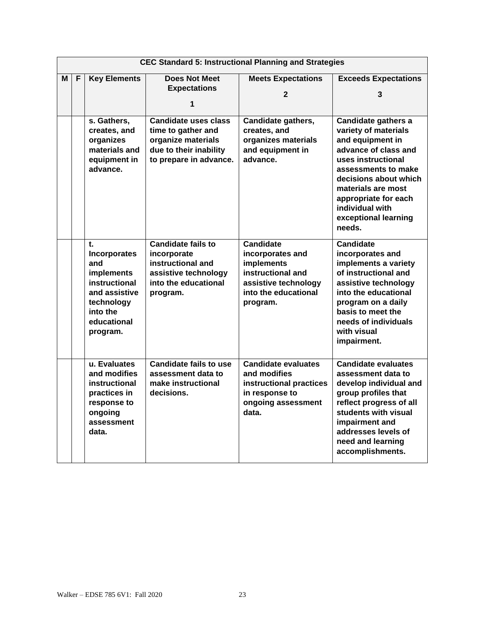|   | <b>CEC Standard 5: Instructional Planning and Strategies</b> |                                                                                                                                       |                                                                                                                           |                                                                                                                                            |                                                                                                                                                                                                                                                                  |  |  |
|---|--------------------------------------------------------------|---------------------------------------------------------------------------------------------------------------------------------------|---------------------------------------------------------------------------------------------------------------------------|--------------------------------------------------------------------------------------------------------------------------------------------|------------------------------------------------------------------------------------------------------------------------------------------------------------------------------------------------------------------------------------------------------------------|--|--|
| м | F                                                            | <b>Key Elements</b>                                                                                                                   | <b>Does Not Meet</b>                                                                                                      | <b>Meets Expectations</b>                                                                                                                  | <b>Exceeds Expectations</b>                                                                                                                                                                                                                                      |  |  |
|   |                                                              |                                                                                                                                       | <b>Expectations</b>                                                                                                       | 2                                                                                                                                          | 3                                                                                                                                                                                                                                                                |  |  |
|   |                                                              |                                                                                                                                       | 1                                                                                                                         |                                                                                                                                            |                                                                                                                                                                                                                                                                  |  |  |
|   |                                                              | s. Gathers,<br>creates, and<br>organizes<br>materials and<br>equipment in<br>advance.                                                 | Candidate uses class<br>time to gather and<br>organize materials<br>due to their inability<br>to prepare in advance.      | Candidate gathers,<br>creates, and<br>organizes materials<br>and equipment in<br>advance.                                                  | Candidate gathers a<br>variety of materials<br>and equipment in<br>advance of class and<br>uses instructional<br>assessments to make<br>decisions about which<br>materials are most<br>appropriate for each<br>individual with<br>exceptional learning<br>needs. |  |  |
|   |                                                              | t.<br><b>Incorporates</b><br>and<br>implements<br>instructional<br>and assistive<br>technology<br>into the<br>educational<br>program. | <b>Candidate fails to</b><br>incorporate<br>instructional and<br>assistive technology<br>into the educational<br>program. | <b>Candidate</b><br>incorporates and<br><b>implements</b><br>instructional and<br>assistive technology<br>into the educational<br>program. | <b>Candidate</b><br>incorporates and<br>implements a variety<br>of instructional and<br>assistive technology<br>into the educational<br>program on a daily<br>basis to meet the<br>needs of individuals<br>with visual<br>impairment.                            |  |  |
|   |                                                              | u. Evaluates<br>and modifies<br>instructional<br>practices in<br>response to<br>ongoing<br>assessment<br>data.                        | <b>Candidate fails to use</b><br>assessment data to<br>make instructional<br>decisions.                                   | <b>Candidate evaluates</b><br>and modifies<br>instructional practices<br>in response to<br>ongoing assessment<br>data.                     | <b>Candidate evaluates</b><br>assessment data to<br>develop individual and<br>group profiles that<br>reflect progress of all<br>students with visual<br>impairment and<br>addresses levels of<br>need and learning<br>accomplishments.                           |  |  |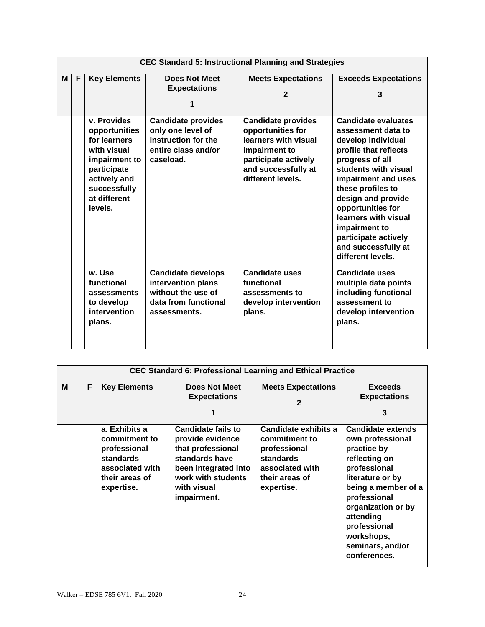|   | <b>CEC Standard 5: Instructional Planning and Strategies</b> |                                                                                                                                                        |                                                                                                               |                                                                                                                                                             |                                                                                                                                                                                                                                                                                                                                                |  |  |
|---|--------------------------------------------------------------|--------------------------------------------------------------------------------------------------------------------------------------------------------|---------------------------------------------------------------------------------------------------------------|-------------------------------------------------------------------------------------------------------------------------------------------------------------|------------------------------------------------------------------------------------------------------------------------------------------------------------------------------------------------------------------------------------------------------------------------------------------------------------------------------------------------|--|--|
| М | F                                                            | <b>Key Elements</b>                                                                                                                                    | <b>Does Not Meet</b><br><b>Expectations</b><br>1                                                              | <b>Meets Expectations</b><br>$\mathbf{2}$                                                                                                                   | <b>Exceeds Expectations</b><br>3                                                                                                                                                                                                                                                                                                               |  |  |
|   |                                                              | v. Provides<br>opportunities<br>for learners<br>with visual<br>impairment to<br>participate<br>actively and<br>successfully<br>at different<br>levels. | <b>Candidate provides</b><br>only one level of<br>instruction for the<br>entire class and/or<br>caseload.     | <b>Candidate provides</b><br>opportunities for<br>learners with visual<br>impairment to<br>participate actively<br>and successfully at<br>different levels. | <b>Candidate evaluates</b><br>assessment data to<br>develop individual<br>profile that reflects<br>progress of all<br>students with visual<br>impairment and uses<br>these profiles to<br>design and provide<br>opportunities for<br>learners with visual<br>impairment to<br>participate actively<br>and successfully at<br>different levels. |  |  |
|   |                                                              | w. Use<br>functional<br>assessments<br>to develop<br>intervention<br>plans.                                                                            | <b>Candidate develops</b><br>intervention plans<br>without the use of<br>data from functional<br>assessments. | <b>Candidate uses</b><br>functional<br>assessments to<br>develop intervention<br>plans.                                                                     | <b>Candidate uses</b><br>multiple data points<br>including functional<br>assessment to<br>develop intervention<br>plans.                                                                                                                                                                                                                       |  |  |

|   | <b>CEC Standard 6: Professional Learning and Ethical Practice</b> |                                                                                                                |                                                                                                                                                                  |                                                                                                                       |                                                                                                                                                                                                                                                              |  |  |  |  |
|---|-------------------------------------------------------------------|----------------------------------------------------------------------------------------------------------------|------------------------------------------------------------------------------------------------------------------------------------------------------------------|-----------------------------------------------------------------------------------------------------------------------|--------------------------------------------------------------------------------------------------------------------------------------------------------------------------------------------------------------------------------------------------------------|--|--|--|--|
| м | F                                                                 | <b>Key Elements</b>                                                                                            | Does Not Meet<br><b>Expectations</b><br>1                                                                                                                        | <b>Meets Expectations</b><br>$\mathbf{2}$                                                                             | <b>Exceeds</b><br><b>Expectations</b><br>3                                                                                                                                                                                                                   |  |  |  |  |
|   |                                                                   | a. Exhibits a<br>commitment to<br>professional<br>standards<br>associated with<br>their areas of<br>expertise. | <b>Candidate fails to</b><br>provide evidence<br>that professional<br>standards have<br>been integrated into<br>work with students<br>with visual<br>impairment. | Candidate exhibits a<br>commitment to<br>professional<br>standards<br>associated with<br>their areas of<br>expertise. | <b>Candidate extends</b><br>own professional<br>practice by<br>reflecting on<br>professional<br>literature or by<br>being a member of a<br>professional<br>organization or by<br>attending<br>professional<br>workshops,<br>seminars, and/or<br>conferences. |  |  |  |  |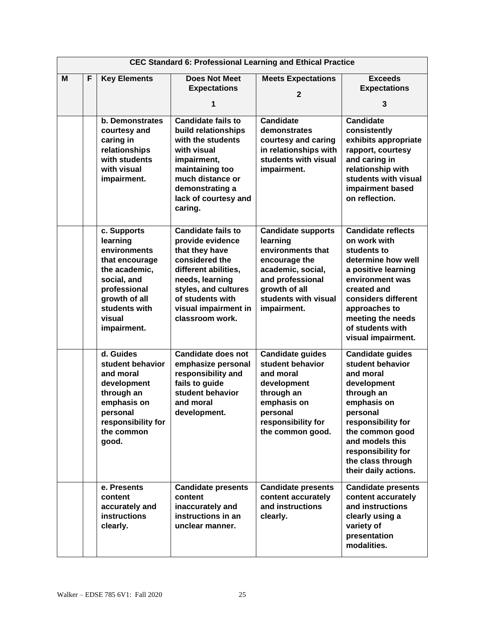|   | <b>CEC Standard 6: Professional Learning and Ethical Practice</b> |                                                                                                                                                                      |                                                                                                                                                                                                                     |                                                                                                                                                                              |                                                                                                                                                                                                                                                 |  |  |
|---|-------------------------------------------------------------------|----------------------------------------------------------------------------------------------------------------------------------------------------------------------|---------------------------------------------------------------------------------------------------------------------------------------------------------------------------------------------------------------------|------------------------------------------------------------------------------------------------------------------------------------------------------------------------------|-------------------------------------------------------------------------------------------------------------------------------------------------------------------------------------------------------------------------------------------------|--|--|
| M | F                                                                 | <b>Key Elements</b>                                                                                                                                                  | <b>Does Not Meet</b><br><b>Expectations</b><br>1                                                                                                                                                                    | <b>Meets Expectations</b><br>$\mathbf{2}$                                                                                                                                    | <b>Exceeds</b><br><b>Expectations</b><br>3                                                                                                                                                                                                      |  |  |
|   |                                                                   | <b>b.</b> Demonstrates<br>courtesy and<br>caring in<br>relationships<br>with students<br>with visual<br>impairment.                                                  | <b>Candidate fails to</b><br>build relationships<br>with the students<br>with visual<br>impairment,<br>maintaining too<br>much distance or<br>demonstrating a<br>lack of courtesy and<br>caring.                    | <b>Candidate</b><br>demonstrates<br>courtesy and caring<br>in relationships with<br>students with visual<br>impairment.                                                      | <b>Candidate</b><br>consistently<br>exhibits appropriate<br>rapport, courtesy<br>and caring in<br>relationship with<br>students with visual<br>impairment based<br>on reflection.                                                               |  |  |
|   |                                                                   | c. Supports<br>learning<br>environments<br>that encourage<br>the academic,<br>social, and<br>professional<br>growth of all<br>students with<br>visual<br>impairment. | <b>Candidate fails to</b><br>provide evidence<br>that they have<br>considered the<br>different abilities,<br>needs, learning<br>styles, and cultures<br>of students with<br>visual impairment in<br>classroom work. | <b>Candidate supports</b><br>learning<br>environments that<br>encourage the<br>academic, social,<br>and professional<br>growth of all<br>students with visual<br>impairment. | <b>Candidate reflects</b><br>on work with<br>students to<br>determine how well<br>a positive learning<br>environment was<br>created and<br>considers different<br>approaches to<br>meeting the needs<br>of students with<br>visual impairment.  |  |  |
|   |                                                                   | d. Guides<br>student behavior<br>and moral<br>development<br>through an<br>emphasis on<br>personal<br>responsibility for<br>the common<br>good.                      | <b>Candidate does not</b><br>emphasize personal<br>responsibility and<br>fails to guide<br>student behavior<br>and moral<br>development.                                                                            | <b>Candidate guides</b><br>student behavior<br>and moral<br>development<br>through an<br>emphasis on<br>personal<br>responsibility for<br>the common good.                   | <b>Candidate guides</b><br>student behavior<br>and moral<br>development<br>through an<br>emphasis on<br>personal<br>responsibility for<br>the common good<br>and models this<br>responsibility for<br>the class through<br>their daily actions. |  |  |
|   |                                                                   | e. Presents<br>content<br>accurately and<br><b>instructions</b><br>clearly.                                                                                          | <b>Candidate presents</b><br>content<br>inaccurately and<br>instructions in an<br>unclear manner.                                                                                                                   | <b>Candidate presents</b><br>content accurately<br>and instructions<br>clearly.                                                                                              | <b>Candidate presents</b><br>content accurately<br>and instructions<br>clearly using a<br>variety of<br>presentation<br>modalities.                                                                                                             |  |  |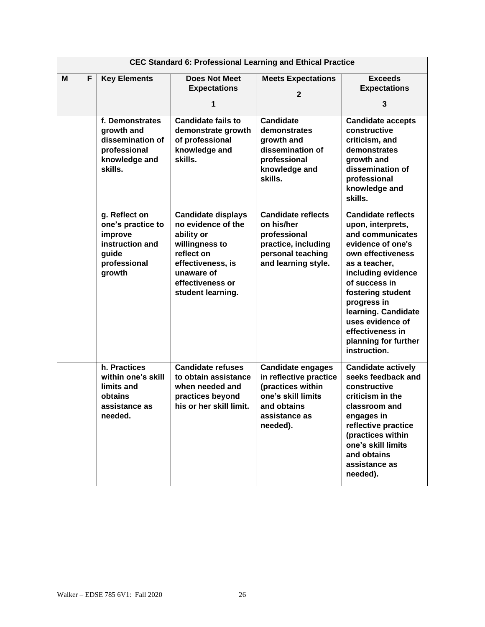|   | <b>CEC Standard 6: Professional Learning and Ethical Practice</b> |                                                                                                     |                                                                                                                                                                           |                                                                                                                                           |                                                                                                                                                                                                                                                                                                                 |  |
|---|-------------------------------------------------------------------|-----------------------------------------------------------------------------------------------------|---------------------------------------------------------------------------------------------------------------------------------------------------------------------------|-------------------------------------------------------------------------------------------------------------------------------------------|-----------------------------------------------------------------------------------------------------------------------------------------------------------------------------------------------------------------------------------------------------------------------------------------------------------------|--|
| M | F                                                                 | <b>Key Elements</b>                                                                                 | <b>Does Not Meet</b><br><b>Expectations</b><br>1                                                                                                                          | <b>Meets Expectations</b><br>$\mathbf{2}$                                                                                                 | <b>Exceeds</b><br><b>Expectations</b><br>3                                                                                                                                                                                                                                                                      |  |
|   |                                                                   | f. Demonstrates<br>growth and<br>dissemination of<br>professional<br>knowledge and<br>skills.       | <b>Candidate fails to</b><br>demonstrate growth<br>of professional<br>knowledge and<br>skills.                                                                            | <b>Candidate</b><br>demonstrates<br>growth and<br>dissemination of<br>professional<br>knowledge and<br>skills.                            | <b>Candidate accepts</b><br>constructive<br>criticism, and<br>demonstrates<br>growth and<br>dissemination of<br>professional<br>knowledge and<br>skills.                                                                                                                                                        |  |
|   |                                                                   | g. Reflect on<br>one's practice to<br>improve<br>instruction and<br>guide<br>professional<br>growth | <b>Candidate displays</b><br>no evidence of the<br>ability or<br>willingness to<br>reflect on<br>effectiveness, is<br>unaware of<br>effectiveness or<br>student learning. | <b>Candidate reflects</b><br>on his/her<br>professional<br>practice, including<br>personal teaching<br>and learning style.                | <b>Candidate reflects</b><br>upon, interprets,<br>and communicates<br>evidence of one's<br>own effectiveness<br>as a teacher,<br>including evidence<br>of success in<br>fostering student<br>progress in<br>learning. Candidate<br>uses evidence of<br>effectiveness in<br>planning for further<br>instruction. |  |
|   |                                                                   | h. Practices<br>within one's skill<br>limits and<br>obtains<br>assistance as<br>needed.             | <b>Candidate refuses</b><br>to obtain assistance<br>when needed and<br>practices beyond<br>his or her skill limit.                                                        | <b>Candidate engages</b><br>in reflective practice<br>(practices within<br>one's skill limits<br>and obtains<br>assistance as<br>needed). | <b>Candidate actively</b><br>seeks feedback and<br>constructive<br>criticism in the<br>classroom and<br>engages in<br>reflective practice<br>(practices within<br>one's skill limits<br>and obtains<br>assistance as<br>needed).                                                                                |  |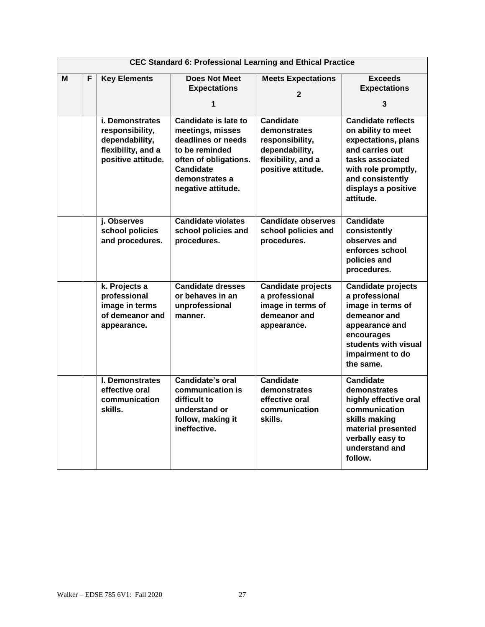|   | <b>CEC Standard 6: Professional Learning and Ethical Practice</b> |                                                                                                         |                                                                                                                                                                              |                                                                                                                   |                                                                                                                                                                                              |  |  |
|---|-------------------------------------------------------------------|---------------------------------------------------------------------------------------------------------|------------------------------------------------------------------------------------------------------------------------------------------------------------------------------|-------------------------------------------------------------------------------------------------------------------|----------------------------------------------------------------------------------------------------------------------------------------------------------------------------------------------|--|--|
| M | F                                                                 | <b>Key Elements</b>                                                                                     | <b>Does Not Meet</b><br><b>Expectations</b><br>1                                                                                                                             | <b>Meets Expectations</b><br>$\mathbf{2}$                                                                         | <b>Exceeds</b><br><b>Expectations</b><br>3                                                                                                                                                   |  |  |
|   |                                                                   | <i>i.</i> Demonstrates<br>responsibility,<br>dependability,<br>flexibility, and a<br>positive attitude. | <b>Candidate is late to</b><br>meetings, misses<br>deadlines or needs<br>to be reminded<br>often of obligations.<br><b>Candidate</b><br>demonstrates a<br>negative attitude. | <b>Candidate</b><br>demonstrates<br>responsibility,<br>dependability,<br>flexibility, and a<br>positive attitude. | <b>Candidate reflects</b><br>on ability to meet<br>expectations, plans<br>and carries out<br>tasks associated<br>with role promptly,<br>and consistently<br>displays a positive<br>attitude. |  |  |
|   |                                                                   | j. Observes<br>school policies<br>and procedures.                                                       | <b>Candidate violates</b><br>school policies and<br>procedures.                                                                                                              | <b>Candidate observes</b><br>school policies and<br>procedures.                                                   | <b>Candidate</b><br>consistently<br>observes and<br>enforces school<br>policies and<br>procedures.                                                                                           |  |  |
|   |                                                                   | k. Projects a<br>professional<br>image in terms<br>of demeanor and<br>appearance.                       | <b>Candidate dresses</b><br>or behaves in an<br>unprofessional<br>manner.                                                                                                    | <b>Candidate projects</b><br>a professional<br>image in terms of<br>demeanor and<br>appearance.                   | <b>Candidate projects</b><br>a professional<br>image in terms of<br>demeanor and<br>appearance and<br>encourages<br>students with visual<br>impairment to do<br>the same.                    |  |  |
|   |                                                                   | I. Demonstrates<br>effective oral<br>communication<br>skills.                                           | <b>Candidate's oral</b><br>communication is<br>difficult to<br>understand or<br>follow, making it<br>ineffective.                                                            | <b>Candidate</b><br>demonstrates<br>effective oral<br>communication<br>skills.                                    | <b>Candidate</b><br>demonstrates<br>highly effective oral<br>communication<br>skills making<br>material presented<br>verbally easy to<br>understand and<br>follow.                           |  |  |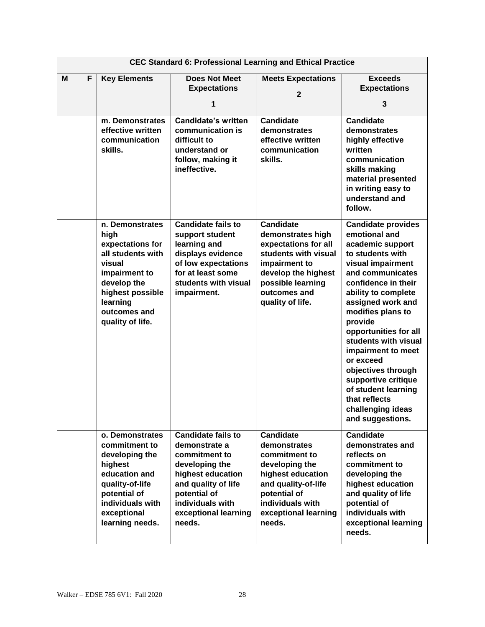|   | <b>CEC Standard 6: Professional Learning and Ethical Practice</b> |                                                                                                                                                                                |                                                                                                                                                                                                 |                                                                                                                                                                                        |                                                                                                                                                                                                                                                                                                                                                                                                                                                  |  |
|---|-------------------------------------------------------------------|--------------------------------------------------------------------------------------------------------------------------------------------------------------------------------|-------------------------------------------------------------------------------------------------------------------------------------------------------------------------------------------------|----------------------------------------------------------------------------------------------------------------------------------------------------------------------------------------|--------------------------------------------------------------------------------------------------------------------------------------------------------------------------------------------------------------------------------------------------------------------------------------------------------------------------------------------------------------------------------------------------------------------------------------------------|--|
| M | F                                                                 | <b>Key Elements</b>                                                                                                                                                            | <b>Does Not Meet</b><br><b>Expectations</b><br>1                                                                                                                                                | <b>Meets Expectations</b><br>$\overline{2}$                                                                                                                                            | <b>Exceeds</b><br><b>Expectations</b><br>3                                                                                                                                                                                                                                                                                                                                                                                                       |  |
|   |                                                                   | m. Demonstrates<br>effective written<br>communication<br>skills.                                                                                                               | <b>Candidate's written</b><br>communication is<br>difficult to<br>understand or<br>follow, making it<br>ineffective.                                                                            | <b>Candidate</b><br>demonstrates<br>effective written<br>communication<br>skills.                                                                                                      | <b>Candidate</b><br>demonstrates<br>highly effective<br>written<br>communication<br>skills making<br>material presented<br>in writing easy to<br>understand and<br>follow.                                                                                                                                                                                                                                                                       |  |
|   |                                                                   | n. Demonstrates<br>high<br>expectations for<br>all students with<br>visual<br>impairment to<br>develop the<br>highest possible<br>learning<br>outcomes and<br>quality of life. | <b>Candidate fails to</b><br>support student<br>learning and<br>displays evidence<br>of low expectations<br>for at least some<br>students with visual<br>impairment.                            | <b>Candidate</b><br>demonstrates high<br>expectations for all<br>students with visual<br>impairment to<br>develop the highest<br>possible learning<br>outcomes and<br>quality of life. | <b>Candidate provides</b><br>emotional and<br>academic support<br>to students with<br>visual impairment<br>and communicates<br>confidence in their<br>ability to complete<br>assigned work and<br>modifies plans to<br>provide<br>opportunities for all<br>students with visual<br>impairment to meet<br>or exceed<br>objectives through<br>supportive critique<br>of student learning<br>that reflects<br>challenging ideas<br>and suggestions. |  |
|   |                                                                   | o. Demonstrates<br>commitment to<br>developing the<br>highest<br>education and<br>quality-of-life<br>potential of<br>individuals with<br>exceptional<br>learning needs.        | <b>Candidate fails to</b><br>demonstrate a<br>commitment to<br>developing the<br>highest education<br>and quality of life<br>potential of<br>individuals with<br>exceptional learning<br>needs. | <b>Candidate</b><br>demonstrates<br>commitment to<br>developing the<br>highest education<br>and quality-of-life<br>potential of<br>individuals with<br>exceptional learning<br>needs.  | <b>Candidate</b><br>demonstrates and<br>reflects on<br>commitment to<br>developing the<br>highest education<br>and quality of life<br>potential of<br>individuals with<br>exceptional learning<br>needs.                                                                                                                                                                                                                                         |  |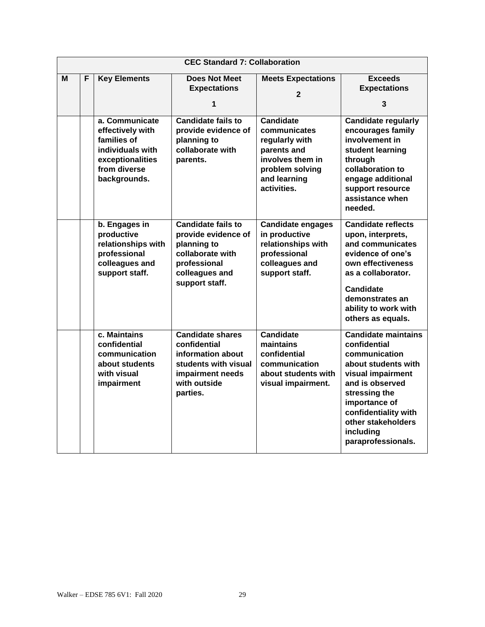|   | <b>CEC Standard 7: Collaboration</b> |                                                                                                                           |                                                                                                                                         |                                                                                                                                         |                                                                                                                                                                                                                                               |  |  |
|---|--------------------------------------|---------------------------------------------------------------------------------------------------------------------------|-----------------------------------------------------------------------------------------------------------------------------------------|-----------------------------------------------------------------------------------------------------------------------------------------|-----------------------------------------------------------------------------------------------------------------------------------------------------------------------------------------------------------------------------------------------|--|--|
| м | F                                    | <b>Key Elements</b>                                                                                                       | <b>Does Not Meet</b><br><b>Expectations</b><br>1                                                                                        | <b>Meets Expectations</b><br>$\mathbf{2}$                                                                                               | <b>Exceeds</b><br><b>Expectations</b><br>3                                                                                                                                                                                                    |  |  |
|   |                                      | a. Communicate<br>effectively with<br>families of<br>individuals with<br>exceptionalities<br>from diverse<br>backgrounds. | <b>Candidate fails to</b><br>provide evidence of<br>planning to<br>collaborate with<br>parents.                                         | <b>Candidate</b><br>communicates<br>regularly with<br>parents and<br>involves them in<br>problem solving<br>and learning<br>activities. | <b>Candidate regularly</b><br>encourages family<br>involvement in<br>student learning<br>through<br>collaboration to<br>engage additional<br>support resource<br>assistance when<br>needed.                                                   |  |  |
|   |                                      | b. Engages in<br>productive<br>relationships with<br>professional<br>colleagues and<br>support staff.                     | <b>Candidate fails to</b><br>provide evidence of<br>planning to<br>collaborate with<br>professional<br>colleagues and<br>support staff. | <b>Candidate engages</b><br>in productive<br>relationships with<br>professional<br>colleagues and<br>support staff.                     | <b>Candidate reflects</b><br>upon, interprets,<br>and communicates<br>evidence of one's<br>own effectiveness<br>as a collaborator.<br><b>Candidate</b><br>demonstrates an<br>ability to work with<br>others as equals.                        |  |  |
|   |                                      | c. Maintains<br>confidential<br>communication<br>about students<br>with visual<br>impairment                              | <b>Candidate shares</b><br>confidential<br>information about<br>students with visual<br>impairment needs<br>with outside<br>parties.    | <b>Candidate</b><br>maintains<br>confidential<br>communication<br>about students with<br>visual impairment.                             | <b>Candidate maintains</b><br>confidential<br>communication<br>about students with<br>visual impairment<br>and is observed<br>stressing the<br>importance of<br>confidentiality with<br>other stakeholders<br>including<br>paraprofessionals. |  |  |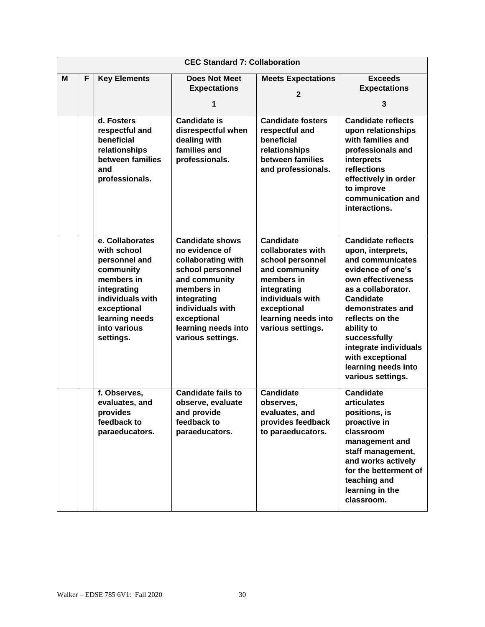|   | <b>CEC Standard 7: Collaboration</b> |                                                                                                                                                                             |                                                                                                                                                                                                                 |                                                                                                                                                                                        |                                                                                                                                                                                                                                                                                                                      |  |  |
|---|--------------------------------------|-----------------------------------------------------------------------------------------------------------------------------------------------------------------------------|-----------------------------------------------------------------------------------------------------------------------------------------------------------------------------------------------------------------|----------------------------------------------------------------------------------------------------------------------------------------------------------------------------------------|----------------------------------------------------------------------------------------------------------------------------------------------------------------------------------------------------------------------------------------------------------------------------------------------------------------------|--|--|
| M | F                                    | <b>Key Elements</b>                                                                                                                                                         | <b>Does Not Meet</b><br><b>Expectations</b>                                                                                                                                                                     | <b>Meets Expectations</b><br>$\overline{2}$                                                                                                                                            | <b>Exceeds</b><br><b>Expectations</b>                                                                                                                                                                                                                                                                                |  |  |
|   |                                      |                                                                                                                                                                             | 1                                                                                                                                                                                                               |                                                                                                                                                                                        | 3                                                                                                                                                                                                                                                                                                                    |  |  |
|   |                                      | d. Fosters<br>respectful and<br>beneficial<br>relationships<br>between families<br>and<br>professionals.                                                                    | <b>Candidate is</b><br>disrespectful when<br>dealing with<br>families and<br>professionals.                                                                                                                     | <b>Candidate fosters</b><br>respectful and<br>beneficial<br>relationships<br>between families<br>and professionals.                                                                    | <b>Candidate reflects</b><br>upon relationships<br>with families and<br>professionals and<br>interprets<br>reflections<br>effectively in order<br>to improve<br>communication and<br>interactions.                                                                                                                   |  |  |
|   |                                      | e. Collaborates<br>with school<br>personnel and<br>community<br>members in<br>integrating<br>individuals with<br>exceptional<br>learning needs<br>into various<br>settings. | <b>Candidate shows</b><br>no evidence of<br>collaborating with<br>school personnel<br>and community<br>members in<br>integrating<br>individuals with<br>exceptional<br>learning needs into<br>various settings. | <b>Candidate</b><br>collaborates with<br>school personnel<br>and community<br>members in<br>integrating<br>individuals with<br>exceptional<br>learning needs into<br>various settings. | <b>Candidate reflects</b><br>upon, interprets,<br>and communicates<br>evidence of one's<br>own effectiveness<br>as a collaborator.<br><b>Candidate</b><br>demonstrates and<br>reflects on the<br>ability to<br>successfully<br>integrate individuals<br>with exceptional<br>learning needs into<br>various settings. |  |  |
|   |                                      | f. Observes,<br>evaluates, and<br>provides<br>feedback to<br>paraeducators.                                                                                                 | <b>Candidate fails to</b><br>observe, evaluate<br>and provide<br>feedback to<br>paraeducators.                                                                                                                  | <b>Candidate</b><br>observes,<br>evaluates, and<br>provides feedback<br>to paraeducators.                                                                                              | <b>Candidate</b><br><b>articulates</b><br>positions, is<br>proactive in<br>classroom<br>management and<br>staff management,<br>and works actively<br>for the betterment of<br>teaching and<br>learning in the<br>classroom.                                                                                          |  |  |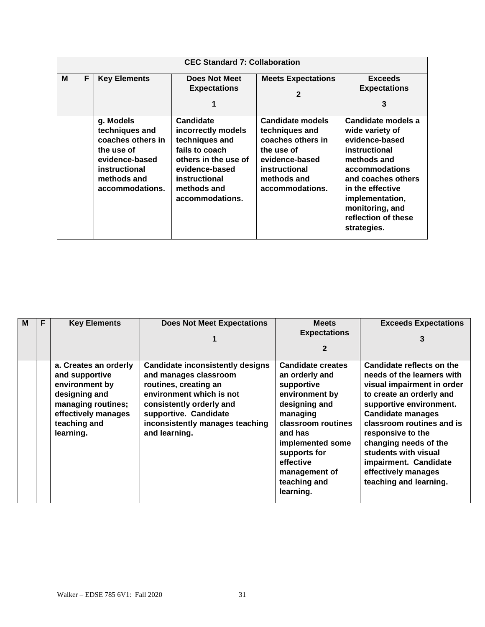|   | <b>CEC Standard 7: Collaboration</b> |                                                                                                                                     |                                                                                                                                                                  |                                                                                                                                                   |                                                                                                                                                                                                                                 |  |  |  |  |
|---|--------------------------------------|-------------------------------------------------------------------------------------------------------------------------------------|------------------------------------------------------------------------------------------------------------------------------------------------------------------|---------------------------------------------------------------------------------------------------------------------------------------------------|---------------------------------------------------------------------------------------------------------------------------------------------------------------------------------------------------------------------------------|--|--|--|--|
| М | F                                    | <b>Key Elements</b>                                                                                                                 | <b>Does Not Meet</b><br><b>Expectations</b>                                                                                                                      | <b>Meets Expectations</b><br>$\mathbf{2}$                                                                                                         | <b>Exceeds</b><br><b>Expectations</b><br>3                                                                                                                                                                                      |  |  |  |  |
|   |                                      | g. Models<br>techniques and<br>coaches others in<br>the use of<br>evidence-based<br>instructional<br>methods and<br>accommodations. | Candidate<br>incorrectly models<br>techniques and<br>fails to coach<br>others in the use of<br>evidence-based<br>instructional<br>methods and<br>accommodations. | <b>Candidate models</b><br>techniques and<br>coaches others in<br>the use of<br>evidence-based<br>instructional<br>methods and<br>accommodations. | Candidate models a<br>wide variety of<br>evidence-based<br>instructional<br>methods and<br>accommodations<br>and coaches others<br>in the effective<br>implementation,<br>monitoring, and<br>reflection of these<br>strategies. |  |  |  |  |

| M | F | <b>Key Elements</b>                                                                                                                                  | <b>Does Not Meet Expectations</b>                                                                                                                                                                                              | <b>Meets</b><br><b>Expectations</b><br>$\mathbf{2}$                                                                                                                                                                                     | <b>Exceeds Expectations</b><br>3                                                                                                                                                                                                                                                                                                                      |
|---|---|------------------------------------------------------------------------------------------------------------------------------------------------------|--------------------------------------------------------------------------------------------------------------------------------------------------------------------------------------------------------------------------------|-----------------------------------------------------------------------------------------------------------------------------------------------------------------------------------------------------------------------------------------|-------------------------------------------------------------------------------------------------------------------------------------------------------------------------------------------------------------------------------------------------------------------------------------------------------------------------------------------------------|
|   |   | a. Creates an orderly<br>and supportive<br>environment by<br>designing and<br>managing routines;<br>effectively manages<br>teaching and<br>learning. | <b>Candidate inconsistently designs</b><br>and manages classroom<br>routines, creating an<br>environment which is not<br>consistently orderly and<br>supportive. Candidate<br>inconsistently manages teaching<br>and learning. | <b>Candidate creates</b><br>an orderly and<br>supportive<br>environment by<br>designing and<br>managing<br>classroom routines<br>and has<br>implemented some<br>supports for<br>effective<br>management of<br>teaching and<br>learning. | Candidate reflects on the<br>needs of the learners with<br>visual impairment in order<br>to create an orderly and<br>supportive environment.<br><b>Candidate manages</b><br>classroom routines and is<br>responsive to the<br>changing needs of the<br>students with visual<br>impairment. Candidate<br>effectively manages<br>teaching and learning. |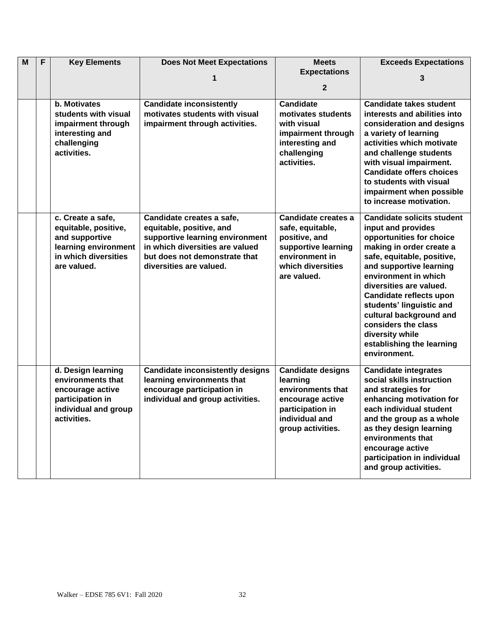| M | F | <b>Key Elements</b>                       | <b>Does Not Meet Expectations</b>                        | <b>Meets</b>                      | <b>Exceeds Expectations</b>                              |
|---|---|-------------------------------------------|----------------------------------------------------------|-----------------------------------|----------------------------------------------------------|
|   |   |                                           | 1                                                        | <b>Expectations</b>               | 3                                                        |
|   |   |                                           |                                                          | $\mathbf{2}$                      |                                                          |
|   |   | b. Motivates                              | <b>Candidate inconsistently</b>                          | <b>Candidate</b>                  | <b>Candidate takes student</b>                           |
|   |   | students with visual                      | motivates students with visual                           | motivates students                | interests and abilities into                             |
|   |   | impairment through                        | impairment through activities.                           | with visual                       | consideration and designs                                |
|   |   | interesting and                           |                                                          | impairment through                | a variety of learning                                    |
|   |   | challenging                               |                                                          | interesting and                   | activities which motivate                                |
|   |   | activities.                               |                                                          | challenging                       | and challenge students                                   |
|   |   |                                           |                                                          | activities.                       | with visual impairment.                                  |
|   |   |                                           |                                                          |                                   | <b>Candidate offers choices</b>                          |
|   |   |                                           |                                                          |                                   | to students with visual                                  |
|   |   |                                           |                                                          |                                   | impairment when possible                                 |
|   |   |                                           |                                                          |                                   | to increase motivation.                                  |
|   |   | c. Create a safe,<br>equitable, positive, | Candidate creates a safe,<br>equitable, positive, and    | Candidate creates a               | <b>Candidate solicits student</b><br>input and provides  |
|   |   | and supportive                            | supportive learning environment                          | safe, equitable,<br>positive, and | opportunities for choice                                 |
|   |   | learning environment                      | in which diversities are valued                          | supportive learning               | making in order create a                                 |
|   |   | in which diversities                      | but does not demonstrate that                            | environment in                    | safe, equitable, positive,                               |
|   |   | are valued.                               | diversities are valued.                                  | which diversities                 | and supportive learning                                  |
|   |   |                                           |                                                          | are valued.                       | environment in which                                     |
|   |   |                                           |                                                          |                                   | diversities are valued.                                  |
|   |   |                                           |                                                          |                                   | Candidate reflects upon                                  |
|   |   |                                           |                                                          |                                   | students' linguistic and                                 |
|   |   |                                           |                                                          |                                   | cultural background and                                  |
|   |   |                                           |                                                          |                                   | considers the class                                      |
|   |   |                                           |                                                          |                                   | diversity while<br>establishing the learning             |
|   |   |                                           |                                                          |                                   | environment.                                             |
|   |   |                                           |                                                          |                                   |                                                          |
|   |   | d. Design learning<br>environments that   | <b>Candidate inconsistently designs</b>                  | <b>Candidate designs</b>          | <b>Candidate integrates</b><br>social skills instruction |
|   |   | encourage active                          | learning environments that<br>encourage participation in | learning<br>environments that     |                                                          |
|   |   | participation in                          | individual and group activities.                         | encourage active                  | and strategies for<br>enhancing motivation for           |
|   |   | individual and group                      |                                                          | participation in                  | each individual student                                  |
|   |   | activities.                               |                                                          | individual and                    | and the group as a whole                                 |
|   |   |                                           |                                                          | group activities.                 | as they design learning                                  |
|   |   |                                           |                                                          |                                   | environments that                                        |
|   |   |                                           |                                                          |                                   | encourage active                                         |
|   |   |                                           |                                                          |                                   | participation in individual                              |
|   |   |                                           |                                                          |                                   | and group activities.                                    |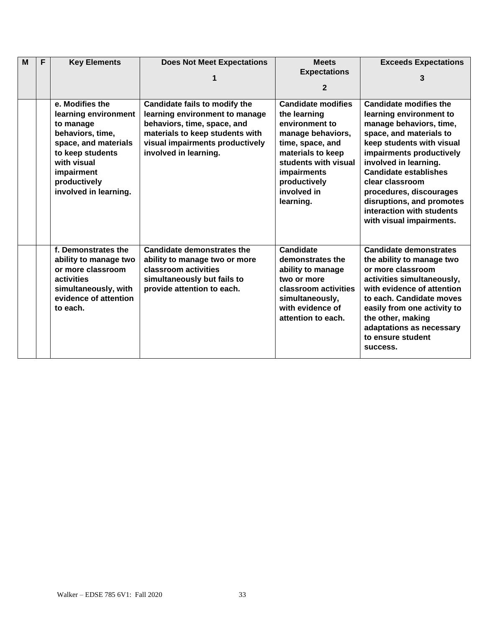| M | F | <b>Key Elements</b>                                                                                                                                                                        | <b>Does Not Meet Expectations</b>                                                                                                                                                             | <b>Meets</b><br><b>Expectations</b>                                                                                                                                                                          | <b>Exceeds Expectations</b>                                                                                                                                                                                                                                                                                                                                          |
|---|---|--------------------------------------------------------------------------------------------------------------------------------------------------------------------------------------------|-----------------------------------------------------------------------------------------------------------------------------------------------------------------------------------------------|--------------------------------------------------------------------------------------------------------------------------------------------------------------------------------------------------------------|----------------------------------------------------------------------------------------------------------------------------------------------------------------------------------------------------------------------------------------------------------------------------------------------------------------------------------------------------------------------|
|   |   |                                                                                                                                                                                            |                                                                                                                                                                                               | $\mathbf{2}$                                                                                                                                                                                                 |                                                                                                                                                                                                                                                                                                                                                                      |
|   |   | e. Modifies the<br>learning environment<br>to manage<br>behaviors, time,<br>space, and materials<br>to keep students<br>with visual<br>impairment<br>productively<br>involved in learning. | Candidate fails to modify the<br>learning environment to manage<br>behaviors, time, space, and<br>materials to keep students with<br>visual impairments productively<br>involved in learning. | <b>Candidate modifies</b><br>the learning<br>environment to<br>manage behaviors,<br>time, space, and<br>materials to keep<br>students with visual<br>impairments<br>productively<br>involved in<br>learning. | <b>Candidate modifies the</b><br>learning environment to<br>manage behaviors, time,<br>space, and materials to<br>keep students with visual<br>impairments productively<br>involved in learning.<br><b>Candidate establishes</b><br>clear classroom<br>procedures, discourages<br>disruptions, and promotes<br>interaction with students<br>with visual impairments. |
|   |   | f. Demonstrates the<br>ability to manage two<br>or more classroom<br>activities<br>simultaneously, with<br>evidence of attention<br>to each.                                               | Candidate demonstrates the<br>ability to manage two or more<br>classroom activities<br>simultaneously but fails to<br>provide attention to each.                                              | Candidate<br>demonstrates the<br>ability to manage<br>two or more<br>classroom activities<br>simultaneously,<br>with evidence of<br>attention to each.                                                       | <b>Candidate demonstrates</b><br>the ability to manage two<br>or more classroom<br>activities simultaneously,<br>with evidence of attention<br>to each. Candidate moves<br>easily from one activity to<br>the other, making<br>adaptations as necessary<br>to ensure student<br>success.                                                                             |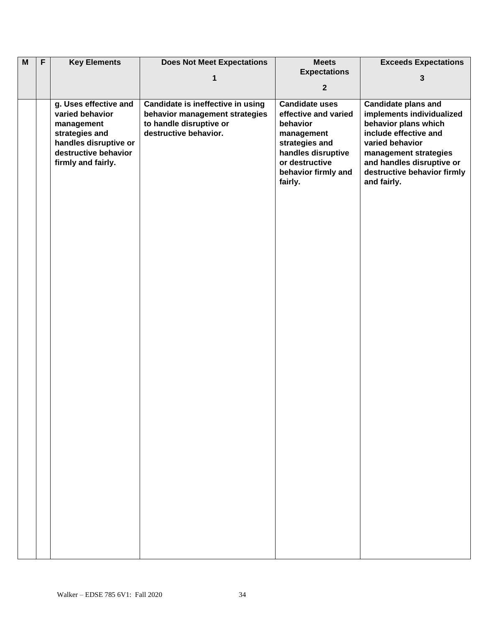| $\overline{M}$ | $\overline{F}$ | <b>Key Elements</b>   | <b>Does Not Meet Expectations</b> | <b>Meets</b>          | <b>Exceeds Expectations</b> |
|----------------|----------------|-----------------------|-----------------------------------|-----------------------|-----------------------------|
|                |                |                       |                                   | <b>Expectations</b>   |                             |
|                |                |                       | 1                                 |                       | 3                           |
|                |                |                       |                                   | $\overline{2}$        |                             |
|                |                | g. Uses effective and | Candidate is ineffective in using | <b>Candidate uses</b> | <b>Candidate plans and</b>  |
|                |                | varied behavior       | behavior management strategies    | effective and varied  | implements individualized   |
|                |                | management            | to handle disruptive or           | behavior              | behavior plans which        |
|                |                | strategies and        | destructive behavior.             | management            | include effective and       |
|                |                | handles disruptive or |                                   | strategies and        | varied behavior             |
|                |                | destructive behavior  |                                   | handles disruptive    | management strategies       |
|                |                | firmly and fairly.    |                                   | or destructive        | and handles disruptive or   |
|                |                |                       |                                   | behavior firmly and   | destructive behavior firmly |
|                |                |                       |                                   | fairly.               | and fairly.                 |
|                |                |                       |                                   |                       |                             |
|                |                |                       |                                   |                       |                             |
|                |                |                       |                                   |                       |                             |
|                |                |                       |                                   |                       |                             |
|                |                |                       |                                   |                       |                             |
|                |                |                       |                                   |                       |                             |
|                |                |                       |                                   |                       |                             |
|                |                |                       |                                   |                       |                             |
|                |                |                       |                                   |                       |                             |
|                |                |                       |                                   |                       |                             |
|                |                |                       |                                   |                       |                             |
|                |                |                       |                                   |                       |                             |
|                |                |                       |                                   |                       |                             |
|                |                |                       |                                   |                       |                             |
|                |                |                       |                                   |                       |                             |
|                |                |                       |                                   |                       |                             |
|                |                |                       |                                   |                       |                             |
|                |                |                       |                                   |                       |                             |
|                |                |                       |                                   |                       |                             |
|                |                |                       |                                   |                       |                             |
|                |                |                       |                                   |                       |                             |
|                |                |                       |                                   |                       |                             |
|                |                |                       |                                   |                       |                             |
|                |                |                       |                                   |                       |                             |
|                |                |                       |                                   |                       |                             |
|                |                |                       |                                   |                       |                             |
|                |                |                       |                                   |                       |                             |
|                |                |                       |                                   |                       |                             |
|                |                |                       |                                   |                       |                             |
|                |                |                       |                                   |                       |                             |
|                |                |                       |                                   |                       |                             |
|                |                |                       |                                   |                       |                             |
|                |                |                       |                                   |                       |                             |
|                |                |                       |                                   |                       |                             |
|                |                |                       |                                   |                       |                             |
|                |                |                       |                                   |                       |                             |
|                |                |                       |                                   |                       |                             |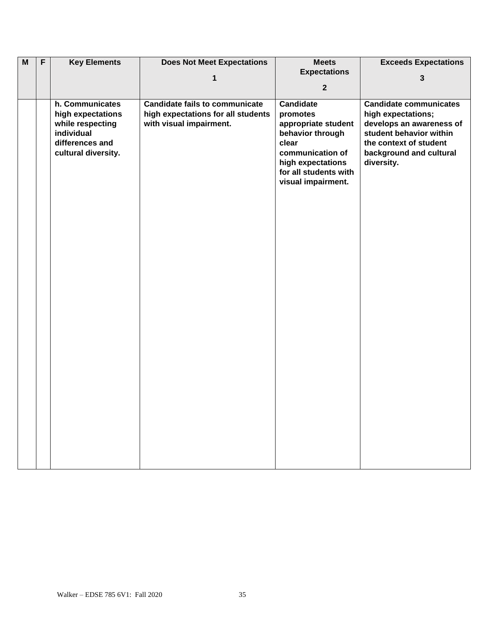| $\overline{M}$ | $\overline{F}$ | <b>Key Elements</b>           | <b>Does Not Meet Expectations</b>     | <b>Meets</b>              | <b>Exceeds Expectations</b>                       |
|----------------|----------------|-------------------------------|---------------------------------------|---------------------------|---------------------------------------------------|
|                |                |                               | 1                                     | <b>Expectations</b>       | 3                                                 |
|                |                |                               |                                       | $\mathbf{2}$              |                                                   |
|                |                | h. Communicates               | <b>Candidate fails to communicate</b> | <b>Candidate</b>          | <b>Candidate communicates</b>                     |
|                |                | high expectations             | high expectations for all students    | promotes                  | high expectations;                                |
|                |                | while respecting              | with visual impairment.               | appropriate student       | develops an awareness of                          |
|                |                | individual<br>differences and |                                       | behavior through<br>clear | student behavior within<br>the context of student |
|                |                | cultural diversity.           |                                       | communication of          | background and cultural                           |
|                |                |                               |                                       | high expectations         | diversity.                                        |
|                |                |                               |                                       | for all students with     |                                                   |
|                |                |                               |                                       | visual impairment.        |                                                   |
|                |                |                               |                                       |                           |                                                   |
|                |                |                               |                                       |                           |                                                   |
|                |                |                               |                                       |                           |                                                   |
|                |                |                               |                                       |                           |                                                   |
|                |                |                               |                                       |                           |                                                   |
|                |                |                               |                                       |                           |                                                   |
|                |                |                               |                                       |                           |                                                   |
|                |                |                               |                                       |                           |                                                   |
|                |                |                               |                                       |                           |                                                   |
|                |                |                               |                                       |                           |                                                   |
|                |                |                               |                                       |                           |                                                   |
|                |                |                               |                                       |                           |                                                   |
|                |                |                               |                                       |                           |                                                   |
|                |                |                               |                                       |                           |                                                   |
|                |                |                               |                                       |                           |                                                   |
|                |                |                               |                                       |                           |                                                   |
|                |                |                               |                                       |                           |                                                   |
|                |                |                               |                                       |                           |                                                   |
|                |                |                               |                                       |                           |                                                   |
|                |                |                               |                                       |                           |                                                   |
|                |                |                               |                                       |                           |                                                   |
|                |                |                               |                                       |                           |                                                   |
|                |                |                               |                                       |                           |                                                   |
|                |                |                               |                                       |                           |                                                   |
|                |                |                               |                                       |                           |                                                   |
|                |                |                               |                                       |                           |                                                   |